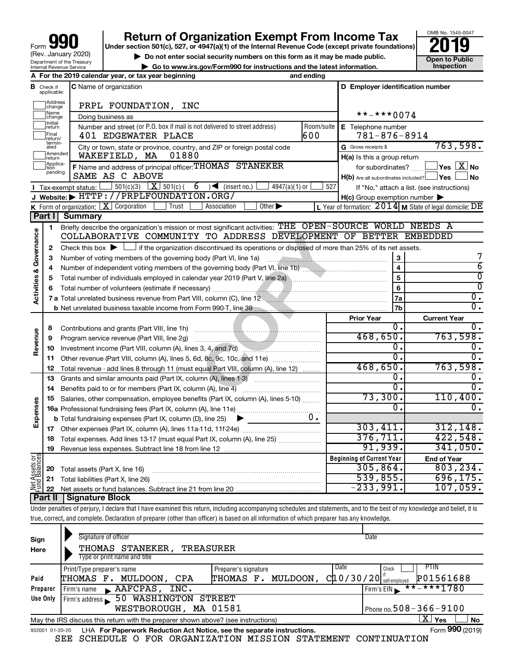# **your Section 501(c), 527, or 4947(a)(1) of the Internal Revenue Code (except private foundations) 2019**

OMB No. 1545-0047 **Open to Public<br>Inspection** 

| $\triangleright$ Do not enter social security numbers on this form as it may be made public. | Open to Publ |
|----------------------------------------------------------------------------------------------|--------------|
| $\triangleright$ Go to www.irs.gov/Form990 for instructions and the latest information.      | Inspection   |

|                         |                             | A For the 2019 calendar year, or tax year beginning                                                                                                                            | and ending       |                                                     |                                                           |
|-------------------------|-----------------------------|--------------------------------------------------------------------------------------------------------------------------------------------------------------------------------|------------------|-----------------------------------------------------|-----------------------------------------------------------|
| в                       | Check if<br>applicable:     | <b>C</b> Name of organization                                                                                                                                                  |                  | D Employer identification number                    |                                                           |
|                         | Address<br>change           | PRPL FOUNDATION, INC                                                                                                                                                           |                  |                                                     |                                                           |
|                         | Name<br>change              | Doing business as                                                                                                                                                              | $***$ $***$ 0074 |                                                     |                                                           |
|                         | Initial<br>return           | Number and street (or P.O. box if mail is not delivered to street address)                                                                                                     | Room/suite       | E Telephone number                                  |                                                           |
|                         | Final<br>return/            | 401 EDGEWATER PLACE                                                                                                                                                            | 600              | $781 - 876 - 8914$                                  |                                                           |
|                         | termin-<br>ated<br>Amended  | City or town, state or province, country, and ZIP or foreign postal code                                                                                                       |                  | G Gross receipts \$                                 | 763,598.                                                  |
|                         | return                      | WAKEFIELD, MA<br>01880                                                                                                                                                         |                  | H(a) Is this a group return                         |                                                           |
|                         | Applica-<br>tion<br>pending | F Name and address of principal officer: THOMAS STANEKER                                                                                                                       |                  | for subordinates?                                   | $\exists$ Yes $\boxed{\text{X}}$ No                       |
|                         |                             | SAME AS C ABOVE                                                                                                                                                                |                  | $H(b)$ Are all subordinates included? $\Box$ Yes    | ∣No                                                       |
|                         |                             | 6<br>$\sqrt{\frac{1}{1}}$ (insert no.)<br>4947(a)(1) or                                                                                                                        | 527              |                                                     | If "No," attach a list. (see instructions)                |
|                         |                             | J Website: FITTP://PRPLFOUNDATION.ORG/                                                                                                                                         |                  | $H(c)$ Group exemption number $\blacktriangleright$ |                                                           |
|                         |                             | K Form of organization: $X$ Corporation<br><b>Trust</b><br>Other $\blacktriangleright$<br>Association                                                                          |                  |                                                     | L Year of formation: $2014$ M State of legal domicile: DE |
|                         | Part I                      | Summary                                                                                                                                                                        |                  |                                                     |                                                           |
|                         | 1.                          | Briefly describe the organization's mission or most significant activities: THE OPEN-SOURCE WORLD NEEDS A<br>COLLABORATIVE COMMUNITY TO ADDRESS DEVELOPMENT OF BETTER EMBEDDED |                  |                                                     |                                                           |
|                         |                             |                                                                                                                                                                                |                  |                                                     |                                                           |
| Governance              | $\mathbf{2}$                | Check this box $\blacktriangleright$ $\Box$ if the organization discontinued its operations or disposed of more than 25% of its net assets.                                    |                  |                                                     | 7                                                         |
|                         | 3                           | Number of voting members of the governing body (Part VI, line 1a)                                                                                                              |                  | 3<br>$\overline{\mathbf{4}}$                        | $\overline{6}$                                            |
|                         | 4                           |                                                                                                                                                                                |                  | 5                                                   | $\overline{0}$                                            |
|                         | 5<br>6                      |                                                                                                                                                                                |                  | 6                                                   | $\overline{0}$                                            |
| <b>Activities &amp;</b> |                             | 7 a Total unrelated business revenue from Part VIII, column (C), line 12 <b>Column (C), 1998</b>                                                                               |                  | 7a                                                  | 0.                                                        |
|                         |                             |                                                                                                                                                                                |                  | 7 <sub>b</sub>                                      | $\overline{0}$ .                                          |
|                         |                             |                                                                                                                                                                                |                  | <b>Prior Year</b>                                   | <b>Current Year</b>                                       |
|                         | 8                           | Contributions and grants (Part VIII, line 1h)                                                                                                                                  |                  | Ο.                                                  | 0.                                                        |
|                         | 9                           | Program service revenue (Part VIII, line 2g)                                                                                                                                   |                  | 468,650.                                            | 763,598.                                                  |
| Revenue                 | 10                          |                                                                                                                                                                                |                  | О.                                                  | 0.                                                        |
|                         | 11                          | Other revenue (Part VIII, column (A), lines 5, 6d, 8c, 9c, 10c, and 11e)                                                                                                       |                  | 0.                                                  | 0.                                                        |
|                         | 12                          | Total revenue - add lines 8 through 11 (must equal Part VIII, column (A), line 12)                                                                                             |                  | 468,650.                                            | 763,598.                                                  |
|                         | 13                          | Grants and similar amounts paid (Part IX, column (A), lines 1-3)                                                                                                               |                  | 0.                                                  | 0.                                                        |
|                         | 14                          |                                                                                                                                                                                |                  | 0.                                                  | $\overline{0}$ .                                          |
|                         | 15                          | Salaries, other compensation, employee benefits (Part IX, column (A), lines 5-10)                                                                                              |                  | 73,300.                                             | 110,400.                                                  |
| Expenses                |                             |                                                                                                                                                                                |                  | 0.                                                  | $\overline{0}$ .                                          |
|                         |                             | <b>b</b> Total fundraising expenses (Part IX, column (D), line 25)                                                                                                             | υ.               |                                                     |                                                           |
|                         |                             |                                                                                                                                                                                |                  | 303,411.                                            | 312, 148.                                                 |
|                         | 18                          | Total expenses. Add lines 13-17 (must equal Part IX, column (A), line 25)                                                                                                      |                  | 376, 711.                                           | 422,548.                                                  |
|                         | 19                          |                                                                                                                                                                                |                  | 91,939.                                             | 341,050.                                                  |
| Assets or               |                             |                                                                                                                                                                                |                  | <b>Beginning of Current Year</b>                    | <b>End of Year</b>                                        |
|                         | 20                          | Total assets (Part X, line 16)                                                                                                                                                 |                  | 305,864.                                            | 803, 234.                                                 |
|                         | 21                          | Total liabilities (Part X, line 26)                                                                                                                                            |                  | 539,855.                                            | 696, 175.                                                 |
| 통<br>국도                 | 22                          |                                                                                                                                                                                |                  | $-233,991.$                                         | 107,059.                                                  |
|                         | Part II                     | <b>Signature Block</b>                                                                                                                                                         |                  |                                                     |                                                           |

Under penalties of perjury, I declare that I have examined this return, including accompanying schedules and statements, and to the best of my knowledge and belief, it is true, correct, and complete. Declaration of preparer (other than officer) is based on all information of which preparer has any knowledge.

| Sign<br>Here | Signature of officer<br>THOMAS STANEKER,<br>TREASURER<br>Type or print name and title                          |                                               | Date                                        |                   |  |  |
|--------------|----------------------------------------------------------------------------------------------------------------|-----------------------------------------------|---------------------------------------------|-------------------|--|--|
| Paid         | Print/Type preparer's name<br>MULDOON,<br>THOMAS F.<br>CPA                                                     | Preparer's signature<br>MULDOON,<br>THOMAS F. | Date<br>Check<br>$C$ 10/30/20 self-employed | PTIN<br>P01561688 |  |  |
| Preparer     | AAFCPAS,<br>INC.<br>Firm's name                                                                                |                                               | Firm's EIN                                  | $***$ $***$ 1780  |  |  |
| Use Only     | <b>50 WASHINGTON</b><br>Firm's address                                                                         | STREET                                        |                                             |                   |  |  |
|              | WESTBOROUGH, MA 01581                                                                                          |                                               | Phone no. $508 - 366 - 9100$                |                   |  |  |
|              | $\mathbf{X}$<br>Yes<br>No<br>May the IRS discuss this return with the preparer shown above? (see instructions) |                                               |                                             |                   |  |  |
|              | Form 990 (2019)<br>LHA For Paperwork Reduction Act Notice, see the separate instructions.<br>932001 01-20-20   |                                               |                                             |                   |  |  |

SEE SCHEDULE O FOR ORGANIZATION MISSION STATEMENT CONTINUATION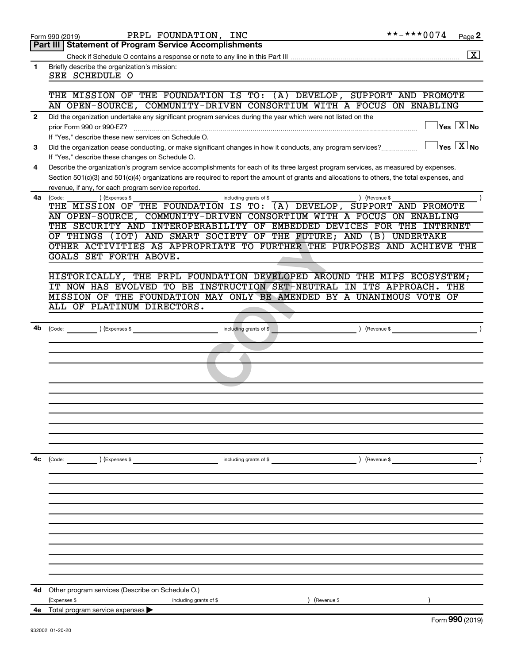|  | Form 990 (2019) |  |
|--|-----------------|--|
|  |                 |  |

|              | Part III   Statement of Program Service Accomplishments                                                                                      |
|--------------|----------------------------------------------------------------------------------------------------------------------------------------------|
|              | $\sqrt{X}$                                                                                                                                   |
| 1.           | Briefly describe the organization's mission:                                                                                                 |
|              | SEE SCHEDULE O                                                                                                                               |
|              |                                                                                                                                              |
|              | THE MISSION OF THE FOUNDATION IS TO: (A) DEVELOP, SUPPORT AND PROMOTE                                                                        |
|              | AN OPEN-SOURCE, COMMUNITY-DRIVEN CONSORTIUM WITH A FOCUS ON ENABLING                                                                         |
| $\mathbf{2}$ | Did the organization undertake any significant program services during the year which were not listed on the                                 |
|              | $\overline{\ }$ Yes $\overline{\rm \ }X$ No<br>prior Form 990 or 990-EZ?                                                                     |
|              | If "Yes." describe these new services on Schedule O.                                                                                         |
| 3            | $\sqrt{}$ Yes $\sqrt{X}$ No<br>Did the organization cease conducting, or make significant changes in how it conducts, any program services?  |
|              | If "Yes," describe these changes on Schedule O.                                                                                              |
| 4            | Describe the organization's program service accomplishments for each of its three largest program services, as measured by expenses.         |
|              | Section 501(c)(3) and 501(c)(4) organizations are required to report the amount of grants and allocations to others, the total expenses, and |
|              | revenue, if any, for each program service reported.                                                                                          |
| 4a           | ) (Revenue \$<br>(Code:<br>) (Expenses \$<br>including grants of \$                                                                          |
|              | (A) DEVELOP, SUPPORT AND PROMOTE<br>THE MISSION OF THE FOUNDATION IS TO:                                                                     |
|              | AN OPEN-SOURCE, COMMUNITY-DRIVEN CONSORTIUM WITH A FOCUS ON ENABLING                                                                         |
|              | THE SECURITY AND INTEROPERABILITY OF EMBEDDED DEVICES FOR THE INTERNET                                                                       |
|              | OF THINGS (IOT) AND SMART SOCIETY OF THE FUTURE; AND (B) UNDERTAKE                                                                           |
|              | OTHER ACTIVITIES AS APPROPRIATE TO FURTHER THE PURPOSES AND ACHIEVE THE                                                                      |
|              | GOALS SET FORTH ABOVE.                                                                                                                       |
|              |                                                                                                                                              |
|              | HISTORICALLY, THE PRPL FOUNDATION DEVELOPED AROUND THE MIPS ECOSYSTEM;                                                                       |
|              | IT NOW HAS EVOLVED TO BE INSTRUCTION SET-NEUTRAL IN ITS APPROACH.<br>THE                                                                     |
|              | MISSION OF THE FOUNDATION MAY ONLY BE AMENDED BY A UNANIMOUS VOTE OF                                                                         |
|              | ALL OF PLATINUM DIRECTORS.                                                                                                                   |
|              |                                                                                                                                              |
| 4b           | (Code: ) (Expenses \$<br>including grants of \$<br>$($ Revenue \$                                                                            |
|              |                                                                                                                                              |
|              |                                                                                                                                              |
|              |                                                                                                                                              |
|              |                                                                                                                                              |
|              |                                                                                                                                              |
|              |                                                                                                                                              |
|              |                                                                                                                                              |
|              |                                                                                                                                              |
|              |                                                                                                                                              |
|              |                                                                                                                                              |
|              |                                                                                                                                              |
|              |                                                                                                                                              |
| 4с           | (Code: ) (Expenses \$<br>$\angle$ (Revenue \$<br>including grants of $$$                                                                     |
|              |                                                                                                                                              |
|              |                                                                                                                                              |
|              |                                                                                                                                              |
|              |                                                                                                                                              |
|              |                                                                                                                                              |
|              |                                                                                                                                              |
|              |                                                                                                                                              |
|              |                                                                                                                                              |
|              |                                                                                                                                              |
|              |                                                                                                                                              |
|              |                                                                                                                                              |
|              |                                                                                                                                              |
|              |                                                                                                                                              |
| 4d           | Other program services (Describe on Schedule O.)                                                                                             |
|              | (Revenue \$<br>(Expenses \$<br>including grants of \$                                                                                        |

**4e** Total program service expenses |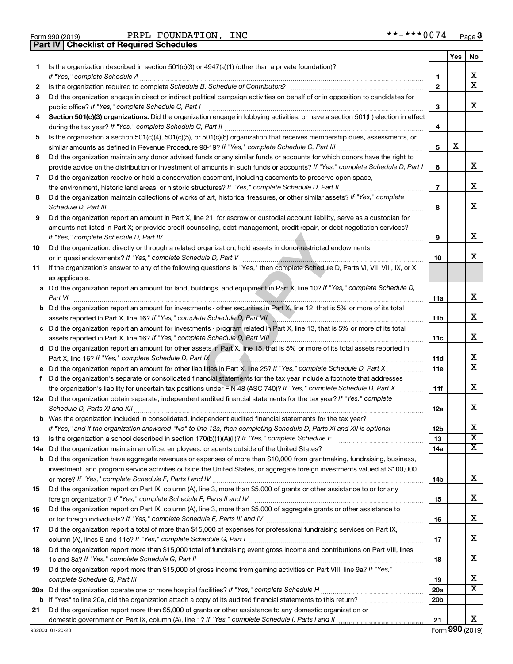| Form 990 (2019) |                                                | PRPL FOUNDAT |
|-----------------|------------------------------------------------|--------------|
|                 | <b>Part IV Checklist of Required Schedules</b> |              |

Form 990 (2019) PRPL FOUNDATION, INC \*\*-\*\*\*0074 <sub>Page</sub>

|    |                                                                                                                                                    |                 | Yes | No                      |
|----|----------------------------------------------------------------------------------------------------------------------------------------------------|-----------------|-----|-------------------------|
| 1. | Is the organization described in section 501(c)(3) or 4947(a)(1) (other than a private foundation)?<br>If "Yes," complete Schedule A               | 1               |     | x                       |
| 2  |                                                                                                                                                    | $\mathbf{2}$    |     | X                       |
| 3  | Did the organization engage in direct or indirect political campaign activities on behalf of or in opposition to candidates for                    |                 |     |                         |
|    | public office? If "Yes," complete Schedule C, Part I                                                                                               | 3               |     | x                       |
| 4  | Section 501(c)(3) organizations. Did the organization engage in lobbying activities, or have a section 501(h) election in effect                   | 4               |     |                         |
| 5  | Is the organization a section 501(c)(4), 501(c)(5), or 501(c)(6) organization that receives membership dues, assessments, or                       |                 |     |                         |
|    | Did the organization maintain any donor advised funds or any similar funds or accounts for which donors have the right to                          | 5               | х   |                         |
| 6  | provide advice on the distribution or investment of amounts in such funds or accounts? If "Yes," complete Schedule D, Part I                       | 6               |     | x.                      |
| 7  | Did the organization receive or hold a conservation easement, including easements to preserve open space,                                          | 7               |     | x                       |
| 8  | Did the organization maintain collections of works of art, historical treasures, or other similar assets? If "Yes," complete                       |                 |     |                         |
|    |                                                                                                                                                    | 8               |     | x                       |
| 9  | Did the organization report an amount in Part X, line 21, for escrow or custodial account liability, serve as a custodian for                      |                 |     |                         |
|    | amounts not listed in Part X; or provide credit counseling, debt management, credit repair, or debt negotiation services?                          | 9               |     | x                       |
| 10 | Did the organization, directly or through a related organization, hold assets in donor-restricted endowments                                       |                 |     |                         |
|    |                                                                                                                                                    | 10              |     | x                       |
| 11 | If the organization's answer to any of the following questions is "Yes," then complete Schedule D, Parts VI, VII, VIII, IX, or X<br>as applicable. |                 |     |                         |
|    | a Did the organization report an amount for land, buildings, and equipment in Part X, line 10? If "Yes," complete Schedule D,<br>Part VI           | 11a             |     | x                       |
|    | <b>b</b> Did the organization report an amount for investments - other securities in Part X, line 12, that is 5% or more of its total              |                 |     | x                       |
|    | c Did the organization report an amount for investments - program related in Part X, line 13, that is 5% or more of its total                      | 11b             |     |                         |
|    |                                                                                                                                                    | 11c             |     | x                       |
|    | d Did the organization report an amount for other assets in Part X, line 15, that is 5% or more of its total assets reported in                    |                 |     |                         |
|    |                                                                                                                                                    | 11d             |     | х                       |
|    |                                                                                                                                                    | 11c             |     | $\overline{\text{X}}$   |
| f  | Did the organization's separate or consolidated financial statements for the tax year include a footnote that addresses                            |                 |     |                         |
|    | the organization's liability for uncertain tax positions under FIN 48 (ASC 740)? If "Yes," complete Schedule D, Part X                             | 11f             |     | x                       |
|    | 12a Did the organization obtain separate, independent audited financial statements for the tax year? If "Yes," complete                            | 12a             |     | x                       |
|    | <b>b</b> Was the organization included in consolidated, independent audited financial statements for the tax year?                                 |                 |     |                         |
|    | If "Yes." and if the organization answered "No" to line 12a, then completing Schedule D. Parts XI and XII is optional                              | 12 <sub>b</sub> |     | х                       |
| 13 | Is the organization a school described in section 170(b)(1)(A)(ii)? If "Yes," complete Schedule E [[[[[[[[[[[[                                     | 13              |     | $\overline{\textbf{x}}$ |
|    |                                                                                                                                                    | 14a             |     | x                       |
|    | <b>b</b> Did the organization have aggregate revenues or expenses of more than \$10,000 from grantmaking, fundraising, business,                   |                 |     |                         |
|    | investment, and program service activities outside the United States, or aggregate foreign investments valued at \$100,000                         | 14b             |     | x                       |
| 15 | Did the organization report on Part IX, column (A), line 3, more than \$5,000 of grants or other assistance to or for any                          | 15              |     | х                       |
| 16 | Did the organization report on Part IX, column (A), line 3, more than \$5,000 of aggregate grants or other assistance to                           |                 |     |                         |
|    |                                                                                                                                                    | 16              |     | х                       |
| 17 | Did the organization report a total of more than \$15,000 of expenses for professional fundraising services on Part IX,                            |                 |     | х                       |
| 18 | Did the organization report more than \$15,000 total of fundraising event gross income and contributions on Part VIII, lines                       | 17              |     |                         |
|    |                                                                                                                                                    | 18              |     | x                       |
| 19 | Did the organization report more than \$15,000 of gross income from gaming activities on Part VIII, line 9a? If "Yes,"                             |                 |     |                         |
|    |                                                                                                                                                    | 19              |     | х                       |
|    |                                                                                                                                                    | <b>20a</b>      |     | x                       |
|    |                                                                                                                                                    | 20 <sub>b</sub> |     |                         |
| 21 | Did the organization report more than \$5,000 of grants or other assistance to any domestic organization or                                        |                 |     |                         |
|    |                                                                                                                                                    | 21              |     | x                       |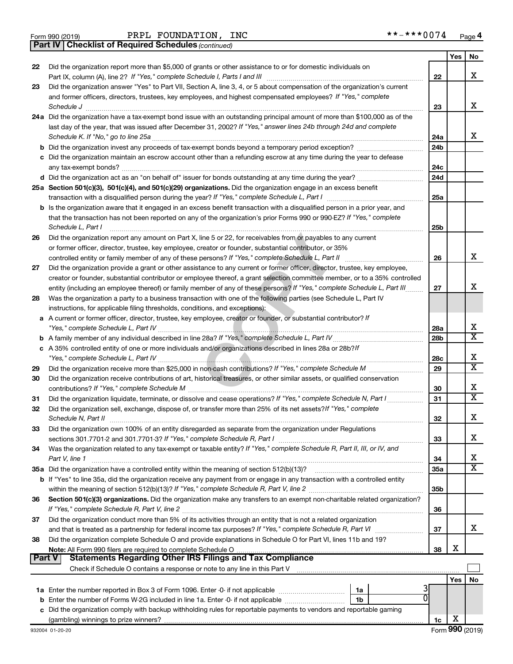|  | Form 990 (2019) |  |
|--|-----------------|--|
|  |                 |  |

Form 990 (2019) PRPL FOUNDATION, INC \*\*-\*\*\*0074 <sub>Page</sub>

*(continued)* **Part IV Checklist of Required Schedules**

|        |                                                                                                                                                                                                                                                            |                 | Yes        | No                      |
|--------|------------------------------------------------------------------------------------------------------------------------------------------------------------------------------------------------------------------------------------------------------------|-----------------|------------|-------------------------|
| 22     | Did the organization report more than \$5,000 of grants or other assistance to or for domestic individuals on                                                                                                                                              |                 |            |                         |
|        |                                                                                                                                                                                                                                                            | 22              |            | x                       |
| 23     | Did the organization answer "Yes" to Part VII, Section A, line 3, 4, or 5 about compensation of the organization's current                                                                                                                                 |                 |            |                         |
|        | and former officers, directors, trustees, key employees, and highest compensated employees? If "Yes," complete                                                                                                                                             |                 |            |                         |
|        | Schedule J                                                                                                                                                                                                                                                 | 23              |            | x                       |
|        | 24a Did the organization have a tax-exempt bond issue with an outstanding principal amount of more than \$100,000 as of the                                                                                                                                |                 |            |                         |
|        | last day of the year, that was issued after December 31, 2002? If "Yes," answer lines 24b through 24d and complete                                                                                                                                         |                 |            | x                       |
|        |                                                                                                                                                                                                                                                            | 24a             |            |                         |
|        |                                                                                                                                                                                                                                                            | 24 <sub>b</sub> |            |                         |
|        | c Did the organization maintain an escrow account other than a refunding escrow at any time during the year to defease                                                                                                                                     |                 |            |                         |
|        |                                                                                                                                                                                                                                                            | 24c             |            |                         |
|        |                                                                                                                                                                                                                                                            | 24d             |            |                         |
|        | 25a Section 501(c)(3), 501(c)(4), and 501(c)(29) organizations. Did the organization engage in an excess benefit                                                                                                                                           |                 |            |                         |
|        |                                                                                                                                                                                                                                                            | 25a             |            |                         |
|        | b Is the organization aware that it engaged in an excess benefit transaction with a disqualified person in a prior year, and                                                                                                                               |                 |            |                         |
|        | that the transaction has not been reported on any of the organization's prior Forms 990 or 990-EZ? If "Yes," complete                                                                                                                                      |                 |            |                         |
|        | Schedule L, Part I                                                                                                                                                                                                                                         | 25 <sub>b</sub> |            |                         |
| 26     | Did the organization report any amount on Part X, line 5 or 22, for receivables from or payables to any current                                                                                                                                            |                 |            |                         |
|        | or former officer, director, trustee, key employee, creator or founder, substantial contributor, or 35%                                                                                                                                                    | 26              |            | x                       |
| 27     |                                                                                                                                                                                                                                                            |                 |            |                         |
|        | Did the organization provide a grant or other assistance to any current or former officer, director, trustee, key employee,<br>creator or founder, substantial contributor or employee thereof, a grant selection committee member, or to a 35% controlled |                 |            |                         |
|        | entity (including an employee thereof) or family member of any of these persons? If "Yes," complete Schedule L, Part III                                                                                                                                   | 27              |            | х                       |
| 28     | Was the organization a party to a business transaction with one of the following parties (see Schedule L, Part IV                                                                                                                                          |                 |            |                         |
|        | instructions, for applicable filing thresholds, conditions, and exceptions):                                                                                                                                                                               |                 |            |                         |
| а      | A current or former officer, director, trustee, key employee, creator or founder, or substantial contributor? If                                                                                                                                           |                 |            |                         |
|        |                                                                                                                                                                                                                                                            | 28a             |            | x                       |
|        |                                                                                                                                                                                                                                                            | 28b             |            | $\overline{\mathtt{x}}$ |
|        | c A 35% controlled entity of one or more individuals and/or organizations described in lines 28a or 28b?If                                                                                                                                                 |                 |            |                         |
|        |                                                                                                                                                                                                                                                            | 28c             |            | X                       |
| 29     |                                                                                                                                                                                                                                                            | 29              |            | $\overline{\mathtt{x}}$ |
| 30     | Did the organization receive contributions of art, historical treasures, or other similar assets, or qualified conservation                                                                                                                                |                 |            |                         |
|        |                                                                                                                                                                                                                                                            | 30              |            | х                       |
| 31     | Did the organization liquidate, terminate, or dissolve and cease operations? If "Yes," complete Schedule N, Part I                                                                                                                                         | 31              |            | $\overline{\mathtt{x}}$ |
| 32     | Did the organization sell, exchange, dispose of, or transfer more than 25% of its net assets? If "Yes," complete                                                                                                                                           |                 |            |                         |
|        | Schedule N, Part II                                                                                                                                                                                                                                        | 32              |            | X                       |
| 33     | Did the organization own 100% of an entity disregarded as separate from the organization under Regulations                                                                                                                                                 |                 |            |                         |
|        |                                                                                                                                                                                                                                                            | 33              |            | X                       |
| 34     | Was the organization related to any tax-exempt or taxable entity? If "Yes," complete Schedule R, Part II, III, or IV, and                                                                                                                                  |                 |            |                         |
|        | Part V, line 1                                                                                                                                                                                                                                             | 34              |            | x                       |
|        | 35a Did the organization have a controlled entity within the meaning of section 512(b)(13)?                                                                                                                                                                | 35a             |            | $\overline{\mathtt{x}}$ |
|        | b If "Yes" to line 35a, did the organization receive any payment from or engage in any transaction with a controlled entity                                                                                                                                |                 |            |                         |
|        |                                                                                                                                                                                                                                                            | 35 <sub>b</sub> |            |                         |
| 36     | Section 501(c)(3) organizations. Did the organization make any transfers to an exempt non-charitable related organization?                                                                                                                                 |                 |            |                         |
|        |                                                                                                                                                                                                                                                            | 36              |            |                         |
| 37     | Did the organization conduct more than 5% of its activities through an entity that is not a related organization                                                                                                                                           |                 |            |                         |
|        |                                                                                                                                                                                                                                                            | 37              |            | x                       |
| 38     | Did the organization complete Schedule O and provide explanations in Schedule O for Part VI, lines 11b and 19?                                                                                                                                             |                 |            |                         |
|        |                                                                                                                                                                                                                                                            | 38              | X          |                         |
| Part V | <b>Statements Regarding Other IRS Filings and Tax Compliance</b>                                                                                                                                                                                           |                 |            |                         |
|        |                                                                                                                                                                                                                                                            |                 |            |                         |
|        |                                                                                                                                                                                                                                                            |                 | <b>Yes</b> | No                      |
|        | 1a                                                                                                                                                                                                                                                         |                 |            |                         |
|        | 1b                                                                                                                                                                                                                                                         |                 |            |                         |
|        | c Did the organization comply with backup withholding rules for reportable payments to vendors and reportable gaming                                                                                                                                       |                 |            |                         |
|        |                                                                                                                                                                                                                                                            | 1c              | х          |                         |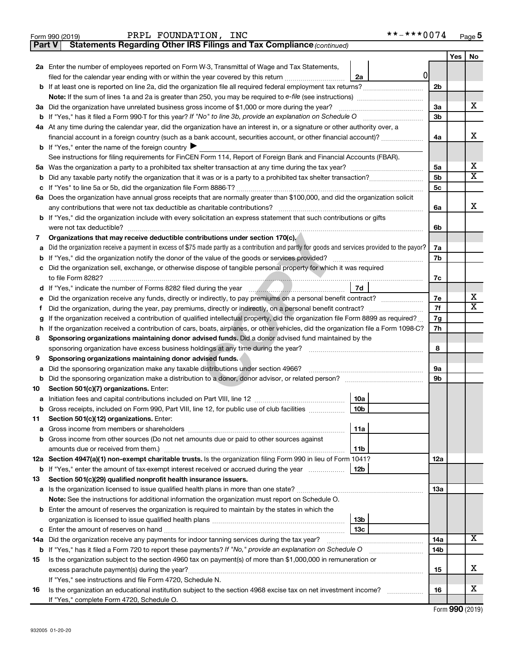|                                                                                                                                       | PRPL FOUNDATION, INC<br>Form 990 (2019)                                                                                                         |                        | **-***0074   |                |     | Page 5                |
|---------------------------------------------------------------------------------------------------------------------------------------|-------------------------------------------------------------------------------------------------------------------------------------------------|------------------------|--------------|----------------|-----|-----------------------|
| l Part V                                                                                                                              | Statements Regarding Other IRS Filings and Tax Compliance (continued)                                                                           |                        |              |                |     |                       |
|                                                                                                                                       |                                                                                                                                                 |                        |              |                | Yes | No                    |
|                                                                                                                                       | 2a Enter the number of employees reported on Form W-3, Transmittal of Wage and Tax Statements,                                                  |                        |              |                |     |                       |
|                                                                                                                                       | filed for the calendar year ending with or within the year covered by this return                                                               | 2a                     | <sup>0</sup> |                |     |                       |
|                                                                                                                                       | b If at least one is reported on line 2a, did the organization file all required federal employment tax returns?                                |                        |              | 2 <sub>b</sub> |     |                       |
|                                                                                                                                       |                                                                                                                                                 |                        |              |                |     |                       |
|                                                                                                                                       | 3a Did the organization have unrelated business gross income of \$1,000 or more during the year?                                                |                        |              | 3a             |     | х                     |
|                                                                                                                                       | <b>b</b> If "Yes," has it filed a Form 990-T for this year? If "No" to line 3b, provide an explanation on Schedule O                            |                        |              | 3 <sub>b</sub> |     |                       |
|                                                                                                                                       | 4a At any time during the calendar year, did the organization have an interest in, or a signature or other authority over, a                    |                        |              |                |     |                       |
|                                                                                                                                       | financial account in a foreign country (such as a bank account, securities account, or other financial account)?                                |                        |              | 4a             |     | х                     |
|                                                                                                                                       | <b>b</b> If "Yes," enter the name of the foreign country $\blacktriangleright$                                                                  |                        |              |                |     |                       |
|                                                                                                                                       | See instructions for filing requirements for FinCEN Form 114, Report of Foreign Bank and Financial Accounts (FBAR).                             |                        |              |                |     |                       |
|                                                                                                                                       |                                                                                                                                                 |                        |              | 5a             |     | х                     |
| b                                                                                                                                     |                                                                                                                                                 |                        |              | 5 <sub>b</sub> |     | x                     |
|                                                                                                                                       |                                                                                                                                                 |                        |              | 5 <sub>c</sub> |     |                       |
|                                                                                                                                       | 6a Does the organization have annual gross receipts that are normally greater than \$100,000, and did the organization solicit                  |                        |              |                |     |                       |
|                                                                                                                                       | any contributions that were not tax deductible as charitable contributions?                                                                     |                        |              | 6a             |     | х                     |
|                                                                                                                                       | <b>b</b> If "Yes," did the organization include with every solicitation an express statement that such contributions or gifts                   |                        |              |                |     |                       |
|                                                                                                                                       |                                                                                                                                                 |                        |              | 6b             |     |                       |
| 7                                                                                                                                     | Organizations that may receive deductible contributions under section 170(c).                                                                   |                        |              |                |     |                       |
| а                                                                                                                                     | Did the organization receive a payment in excess of \$75 made partly as a contribution and partly for goods and services provided to the payor? |                        |              | 7a             |     |                       |
| b                                                                                                                                     |                                                                                                                                                 |                        |              | 7b             |     |                       |
| c                                                                                                                                     | Did the organization sell, exchange, or otherwise dispose of tangible personal property for which it was required                               |                        |              |                |     |                       |
|                                                                                                                                       | to file Form 8282?                                                                                                                              |                        |              | 7c             |     |                       |
|                                                                                                                                       |                                                                                                                                                 | 7d                     |              |                |     |                       |
| е                                                                                                                                     | Did the organization receive any funds, directly or indirectly, to pay premiums on a personal benefit contract?                                 |                        |              | 7e             |     | х                     |
| Ť                                                                                                                                     |                                                                                                                                                 |                        |              | 7f             |     | $\overline{\text{X}}$ |
| If the organization received a contribution of qualified intellectual property, did the organization file Form 8899 as required?<br>g |                                                                                                                                                 |                        | 7g           |                |     |                       |
|                                                                                                                                       | h If the organization received a contribution of cars, boats, airplanes, or other vehicles, did the organization file a Form 1098-C?            |                        |              | 7h             |     |                       |
| 8                                                                                                                                     | Sponsoring organizations maintaining donor advised funds. Did a donor advised fund maintained by the                                            |                        |              |                |     |                       |
|                                                                                                                                       | sponsoring organization have excess business holdings at any time during the year?                                                              |                        |              | 8              |     |                       |
| 9                                                                                                                                     | Sponsoring organizations maintaining donor advised funds.                                                                                       |                        |              |                |     |                       |
| а                                                                                                                                     | Did the sponsoring organization make any taxable distributions under section 4966?                                                              |                        |              | <b>9a</b>      |     |                       |
| b                                                                                                                                     |                                                                                                                                                 |                        |              | 9b             |     |                       |
| 10                                                                                                                                    | Section 501(c)(7) organizations. Enter:                                                                                                         |                        |              |                |     |                       |
|                                                                                                                                       |                                                                                                                                                 | 10a                    |              |                |     |                       |
| b                                                                                                                                     | Gross receipts, included on Form 990, Part VIII, line 12, for public use of club facilities                                                     | 10b                    |              |                |     |                       |
| 11                                                                                                                                    | Section 501(c)(12) organizations. Enter:                                                                                                        |                        |              |                |     |                       |
| а                                                                                                                                     |                                                                                                                                                 | 11a                    |              |                |     |                       |
|                                                                                                                                       | b Gross income from other sources (Do not net amounts due or paid to other sources against                                                      |                        |              |                |     |                       |
|                                                                                                                                       |                                                                                                                                                 | 11b                    |              |                |     |                       |
|                                                                                                                                       | 12a Section 4947(a)(1) non-exempt charitable trusts. Is the organization filing Form 990 in lieu of Form 1041?                                  |                        |              | 12a            |     |                       |
|                                                                                                                                       | <b>b</b> If "Yes," enter the amount of tax-exempt interest received or accrued during the year                                                  | 12b                    |              |                |     |                       |
| 13                                                                                                                                    | Section 501(c)(29) qualified nonprofit health insurance issuers.                                                                                |                        |              |                |     |                       |
|                                                                                                                                       |                                                                                                                                                 |                        |              | 13a            |     |                       |
|                                                                                                                                       | Note: See the instructions for additional information the organization must report on Schedule O.                                               |                        |              |                |     |                       |
|                                                                                                                                       | <b>b</b> Enter the amount of reserves the organization is required to maintain by the states in which the                                       |                        |              |                |     |                       |
|                                                                                                                                       |                                                                                                                                                 | 13 <sub>b</sub><br>13c |              |                |     |                       |
|                                                                                                                                       |                                                                                                                                                 |                        |              |                |     | X                     |
|                                                                                                                                       | 14a Did the organization receive any payments for indoor tanning services during the tax year?                                                  |                        |              | 14a            |     |                       |
|                                                                                                                                       | Is the organization subject to the section 4960 tax on payment(s) of more than \$1,000,000 in remuneration or                                   |                        |              | 14b            |     |                       |
| 15                                                                                                                                    |                                                                                                                                                 |                        |              | 15             |     | х                     |
|                                                                                                                                       | If "Yes," see instructions and file Form 4720, Schedule N.                                                                                      |                        |              |                |     |                       |
| 16                                                                                                                                    | Is the organization an educational institution subject to the section 4968 excise tax on net investment income?                                 |                        |              | 16             |     | х                     |
|                                                                                                                                       | If "Yes," complete Form 4720, Schedule O.                                                                                                       |                        |              |                |     |                       |
|                                                                                                                                       |                                                                                                                                                 |                        |              |                |     |                       |

Form (2019) **990**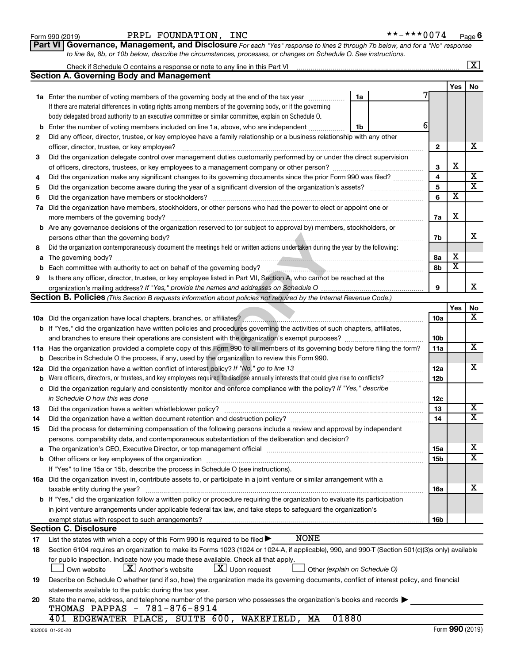### Form 990 (2019) PRPL FOUNDATION, INC \*\*-\*\*\*0074 <sub>Page</sub>

| ·*-***0074 | Page 6 |
|------------|--------|
|------------|--------|

**Part VI** Governance, Management, and Disclosure For each "Yes" response to lines 2 through 7b below, and for a "No" response *to line 8a, 8b, or 10b below, describe the circumstances, processes, or changes on Schedule O. See instructions.*

|                                                                                                                      |                                                                                                                                                                                                                                |                 |                         | $\mathbf{X}$            |  |  |  |  |
|----------------------------------------------------------------------------------------------------------------------|--------------------------------------------------------------------------------------------------------------------------------------------------------------------------------------------------------------------------------|-----------------|-------------------------|-------------------------|--|--|--|--|
|                                                                                                                      | Section A. Governing Body and Management                                                                                                                                                                                       |                 |                         |                         |  |  |  |  |
|                                                                                                                      |                                                                                                                                                                                                                                |                 | Yes                     | No                      |  |  |  |  |
|                                                                                                                      | <b>1a</b> Enter the number of voting members of the governing body at the end of the tax year<br>1a                                                                                                                            |                 |                         |                         |  |  |  |  |
|                                                                                                                      | If there are material differences in voting rights among members of the governing body, or if the governing                                                                                                                    |                 |                         |                         |  |  |  |  |
|                                                                                                                      | body delegated broad authority to an executive committee or similar committee, explain on Schedule O.                                                                                                                          |                 |                         |                         |  |  |  |  |
| b                                                                                                                    | 6<br>Enter the number of voting members included on line 1a, above, who are independent<br>1b                                                                                                                                  |                 |                         |                         |  |  |  |  |
| 2                                                                                                                    | Did any officer, director, trustee, or key employee have a family relationship or a business relationship with any other                                                                                                       |                 |                         |                         |  |  |  |  |
|                                                                                                                      | officer, director, trustee, or key employee?                                                                                                                                                                                   | $\mathbf{2}$    |                         | х                       |  |  |  |  |
| 3                                                                                                                    | Did the organization delegate control over management duties customarily performed by or under the direct supervision                                                                                                          |                 |                         |                         |  |  |  |  |
|                                                                                                                      |                                                                                                                                                                                                                                | 3               | х                       |                         |  |  |  |  |
| 4                                                                                                                    |                                                                                                                                                                                                                                | 4               |                         | Х                       |  |  |  |  |
| 5                                                                                                                    |                                                                                                                                                                                                                                | 5               |                         | $\overline{\textbf{x}}$ |  |  |  |  |
| Did the organization have members or stockholders?<br>6                                                              |                                                                                                                                                                                                                                |                 |                         |                         |  |  |  |  |
| Did the organization have members, stockholders, or other persons who had the power to elect or appoint one or<br>7a |                                                                                                                                                                                                                                |                 |                         |                         |  |  |  |  |
|                                                                                                                      |                                                                                                                                                                                                                                | 7a              | х                       |                         |  |  |  |  |
| b                                                                                                                    | Are any governance decisions of the organization reserved to (or subject to approval by) members, stockholders, or                                                                                                             |                 |                         |                         |  |  |  |  |
|                                                                                                                      | persons other than the governing body?                                                                                                                                                                                         | 7b              |                         | x                       |  |  |  |  |
| 8                                                                                                                    | Did the organization contemporaneously document the meetings held or written actions undertaken during the year by the following:                                                                                              |                 |                         |                         |  |  |  |  |
| а                                                                                                                    |                                                                                                                                                                                                                                | 8а              | х                       |                         |  |  |  |  |
| b                                                                                                                    | Each committee with authority to act on behalf of the governing body?                                                                                                                                                          | 8b              | $\overline{\mathbf{x}}$ |                         |  |  |  |  |
| 9                                                                                                                    | Is there any officer, director, trustee, or key employee listed in Part VII, Section A, who cannot be reached at the                                                                                                           |                 |                         |                         |  |  |  |  |
|                                                                                                                      |                                                                                                                                                                                                                                | 9               |                         | x                       |  |  |  |  |
|                                                                                                                      | Section B. Policies (This Section B requests information about policies not required by the Internal Revenue Code.)                                                                                                            |                 |                         |                         |  |  |  |  |
|                                                                                                                      |                                                                                                                                                                                                                                |                 | Yes                     | No                      |  |  |  |  |
|                                                                                                                      |                                                                                                                                                                                                                                | 10a             |                         | X.                      |  |  |  |  |
|                                                                                                                      | <b>b</b> If "Yes," did the organization have written policies and procedures governing the activities of such chapters, affiliates,                                                                                            |                 |                         |                         |  |  |  |  |
|                                                                                                                      |                                                                                                                                                                                                                                | 10b             |                         |                         |  |  |  |  |
|                                                                                                                      | 11a Has the organization provided a complete copy of this Form 990 to all members of its governing body before filing the form?                                                                                                | 11a             |                         | х                       |  |  |  |  |
| b                                                                                                                    | Describe in Schedule O the process, if any, used by the organization to review this Form 990.                                                                                                                                  |                 |                         |                         |  |  |  |  |
| 12a                                                                                                                  | Did the organization have a written conflict of interest policy? If "No," go to line 13                                                                                                                                        | 12a             |                         | x                       |  |  |  |  |
| b                                                                                                                    | Were officers, directors, or trustees, and key employees required to disclose annually interests that could give rise to conflicts?                                                                                            | 12 <sub>b</sub> |                         |                         |  |  |  |  |
| с                                                                                                                    | Did the organization regularly and consistently monitor and enforce compliance with the policy? If "Yes," describe                                                                                                             |                 |                         |                         |  |  |  |  |
|                                                                                                                      |                                                                                                                                                                                                                                | 12c             |                         |                         |  |  |  |  |
| 13                                                                                                                   | Did the organization have a written whistleblower policy?                                                                                                                                                                      | 13              |                         | х                       |  |  |  |  |
| 14                                                                                                                   |                                                                                                                                                                                                                                | 14              |                         | $\overline{\texttt{X}}$ |  |  |  |  |
| 15                                                                                                                   | Did the process for determining compensation of the following persons include a review and approval by independent                                                                                                             |                 |                         |                         |  |  |  |  |
|                                                                                                                      | persons, comparability data, and contemporaneous substantiation of the deliberation and decision?                                                                                                                              |                 |                         |                         |  |  |  |  |
|                                                                                                                      | The organization's CEO, Executive Director, or top management official manufactured content of the organization's CEO, Executive Director, or top management official manufactured content of the state of the state of the st | 15a             |                         | х                       |  |  |  |  |
|                                                                                                                      | Other officers or key employees of the organization                                                                                                                                                                            | 15 <sub>b</sub> |                         | $\overline{\texttt{x}}$ |  |  |  |  |
|                                                                                                                      | If "Yes" to line 15a or 15b, describe the process in Schedule O (see instructions).                                                                                                                                            |                 |                         |                         |  |  |  |  |
|                                                                                                                      | 16a Did the organization invest in, contribute assets to, or participate in a joint venture or similar arrangement with a                                                                                                      |                 |                         |                         |  |  |  |  |
|                                                                                                                      | taxable entity during the year?                                                                                                                                                                                                | 16a             |                         | x                       |  |  |  |  |
|                                                                                                                      | b If "Yes," did the organization follow a written policy or procedure requiring the organization to evaluate its participation                                                                                                 |                 |                         |                         |  |  |  |  |
|                                                                                                                      | in joint venture arrangements under applicable federal tax law, and take steps to safeguard the organization's                                                                                                                 |                 |                         |                         |  |  |  |  |
|                                                                                                                      | exempt status with respect to such arrangements?                                                                                                                                                                               | 16 <sub>b</sub> |                         |                         |  |  |  |  |
|                                                                                                                      | <b>Section C. Disclosure</b>                                                                                                                                                                                                   |                 |                         |                         |  |  |  |  |
| 17                                                                                                                   | <b>NONE</b><br>List the states with which a copy of this Form 990 is required to be filed >                                                                                                                                    |                 |                         |                         |  |  |  |  |
| 18                                                                                                                   | Section 6104 requires an organization to make its Forms 1023 (1024 or 1024-A, if applicable), 990, and 990-T (Section 501(c)(3)s only) available                                                                               |                 |                         |                         |  |  |  |  |
|                                                                                                                      | for public inspection. Indicate how you made these available. Check all that apply.                                                                                                                                            |                 |                         |                         |  |  |  |  |
|                                                                                                                      | $\lfloor x \rfloor$ Upon request<br>$\lfloor x \rfloor$ Another's website<br>Other (explain on Schedule O)<br>Own website                                                                                                      |                 |                         |                         |  |  |  |  |
| 19                                                                                                                   | Describe on Schedule O whether (and if so, how) the organization made its governing documents, conflict of interest policy, and financial                                                                                      |                 |                         |                         |  |  |  |  |
|                                                                                                                      | statements available to the public during the tax year.                                                                                                                                                                        |                 |                         |                         |  |  |  |  |
| 20                                                                                                                   | State the name, address, and telephone number of the person who possesses the organization's books and records                                                                                                                 |                 |                         |                         |  |  |  |  |
|                                                                                                                      | THOMAS PAPPAS - 781-876-8914                                                                                                                                                                                                   |                 |                         |                         |  |  |  |  |
|                                                                                                                      | 01880<br>401 EDGEWATER PLACE, SUITE 600, WAKEFIELD, MA                                                                                                                                                                         |                 |                         |                         |  |  |  |  |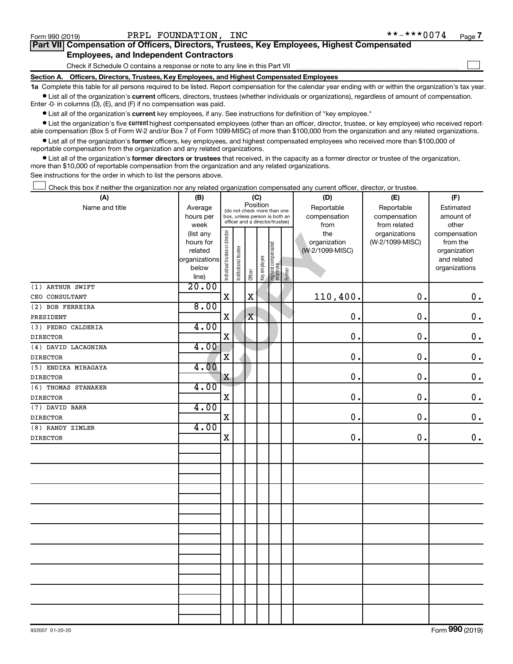$\Box$ 

| Part VII Compensation of Officers, Directors, Trustees, Key Employees, Highest Compensated |
|--------------------------------------------------------------------------------------------|
| <b>Employees, and Independent Contractors</b>                                              |

Check if Schedule O contains a response or note to any line in this Part VII

**Section A. Officers, Directors, Trustees, Key Employees, and Highest Compensated Employees**

**1a**  Complete this table for all persons required to be listed. Report compensation for the calendar year ending with or within the organization's tax year.  $\bullet$  List all of the organization's current officers, directors, trustees (whether individuals or organizations), regardless of amount of compensation.

Enter -0- in columns (D), (E), and (F) if no compensation was paid.

**•** List all of the organization's current key employees, if any. See instructions for definition of "key employee."

• List the organization's five *current* highest compensated employees (other than an officer, director, trustee, or key employee) who received reportable compensation (Box 5 of Form W-2 and/or Box 7 of Form 1099-MISC) of more than \$100,000 from the organization and any related organizations.

 $\bullet$  List all of the organization's former officers, key employees, and highest compensated employees who received more than \$100,000 of reportable compensation from the organization and any related organizations.

**•** List all of the organization's former directors or trustees that received, in the capacity as a former director or trustee of the organization, more than \$10,000 of reportable compensation from the organization and any related organizations.

See instructions for the order in which to list the persons above.

Check this box if neither the organization nor any related organization compensated any current officer, director, or trustee.  $\Box$ 

| (A)                 | (B)            | (C)                            |                                                                  |                                         |             |                                  |        | (D)             | (E)             | (F)           |
|---------------------|----------------|--------------------------------|------------------------------------------------------------------|-----------------------------------------|-------------|----------------------------------|--------|-----------------|-----------------|---------------|
| Name and title      | Average        |                                |                                                                  | Position<br>(do not check more than one |             |                                  |        | Reportable      | Reportable      | Estimated     |
|                     | hours per      |                                | box, unless person is both an<br>officer and a director/trustee) |                                         |             |                                  |        | compensation    | compensation    | amount of     |
|                     | week           |                                |                                                                  |                                         |             |                                  |        | from            | from related    | other         |
|                     | (list any      |                                |                                                                  |                                         |             |                                  |        | the             | organizations   | compensation  |
|                     | hours for      |                                |                                                                  |                                         |             |                                  |        | organization    | (W-2/1099-MISC) | from the      |
|                     | related        |                                |                                                                  |                                         |             |                                  |        | (W-2/1099-MISC) |                 | organization  |
|                     | organizations  |                                |                                                                  |                                         |             |                                  |        |                 |                 | and related   |
|                     | below<br>line) | Individual trustee or director | Institutional trustee                                            | Officer                                 | Keyemployee | Highest compensated<br> employee | Former |                 |                 | organizations |
| (1) ARTHUR SWIFT    | 20.00          |                                |                                                                  |                                         |             |                                  |        |                 |                 |               |
| CEO CONSULTANT      |                | $\mathbf X$                    |                                                                  | $\mathbf x$                             |             |                                  |        | 110,400.        | 0.              | $\mathbf 0$ . |
| (2) BOB FERREIRA    | 8.00           |                                |                                                                  |                                         |             |                                  |        |                 |                 |               |
| PRESIDENT           |                | $\mathbf X$                    |                                                                  | $\mathbf X$                             |             |                                  |        | 0.              | 0.              | $\mathbf 0$ . |
| (3) PEDRO CALDERIA  | 4.00           |                                |                                                                  |                                         |             |                                  |        |                 |                 |               |
| <b>DIRECTOR</b>     |                | $\mathbf X$                    |                                                                  |                                         |             |                                  |        | 0.              | $\mathbf 0$ .   | $\mathbf 0$ . |
| (4) DAVID LACAGNINA | 4.00           |                                |                                                                  |                                         |             |                                  |        |                 |                 |               |
| <b>DIRECTOR</b>     |                | $\overline{\textbf{X}}$        |                                                                  |                                         |             |                                  |        | $\mathbf 0$ .   | 0.              | $\mathbf 0$ . |
| (5) ENDIKA MIRAGAYA | 4.00           |                                |                                                                  |                                         |             |                                  |        |                 |                 |               |
| <b>DIRECTOR</b>     |                | $\mathbf X$                    |                                                                  |                                         |             |                                  |        | 0.              | 0.              | $\mathbf 0$ . |
| (6) THOMAS STANAKER | 4.00           |                                |                                                                  |                                         |             |                                  |        |                 |                 |               |
| <b>DIRECTOR</b>     |                | $\mathbf X$                    |                                                                  |                                         |             |                                  |        | 0.              | 0.              | $0$ .         |
| (7) DAVID BARR      | 4.00           |                                |                                                                  |                                         |             |                                  |        |                 |                 |               |
| <b>DIRECTOR</b>     |                | $\mathbf X$                    |                                                                  |                                         |             |                                  |        | 0.              | $\mathbf 0$ .   | $0$ .         |
| (8) RANDY ZIMLER    | 4.00           |                                |                                                                  |                                         |             |                                  |        |                 |                 |               |
| <b>DIRECTOR</b>     |                | $\mathbf X$                    |                                                                  |                                         |             |                                  |        | $\mathbf 0$ .   | 0.              | $0$ .         |
|                     |                |                                |                                                                  |                                         |             |                                  |        |                 |                 |               |
|                     |                |                                |                                                                  |                                         |             |                                  |        |                 |                 |               |
|                     |                |                                |                                                                  |                                         |             |                                  |        |                 |                 |               |
|                     |                |                                |                                                                  |                                         |             |                                  |        |                 |                 |               |
|                     |                |                                |                                                                  |                                         |             |                                  |        |                 |                 |               |
|                     |                |                                |                                                                  |                                         |             |                                  |        |                 |                 |               |
|                     |                |                                |                                                                  |                                         |             |                                  |        |                 |                 |               |
|                     |                |                                |                                                                  |                                         |             |                                  |        |                 |                 |               |
|                     |                |                                |                                                                  |                                         |             |                                  |        |                 |                 |               |
|                     |                |                                |                                                                  |                                         |             |                                  |        |                 |                 |               |
|                     |                |                                |                                                                  |                                         |             |                                  |        |                 |                 |               |
|                     |                |                                |                                                                  |                                         |             |                                  |        |                 |                 |               |
|                     |                |                                |                                                                  |                                         |             |                                  |        |                 |                 |               |
|                     |                |                                |                                                                  |                                         |             |                                  |        |                 |                 |               |
|                     |                |                                |                                                                  |                                         |             |                                  |        |                 |                 |               |
|                     |                |                                |                                                                  |                                         |             |                                  |        |                 |                 |               |
|                     |                |                                |                                                                  |                                         |             |                                  |        |                 |                 |               |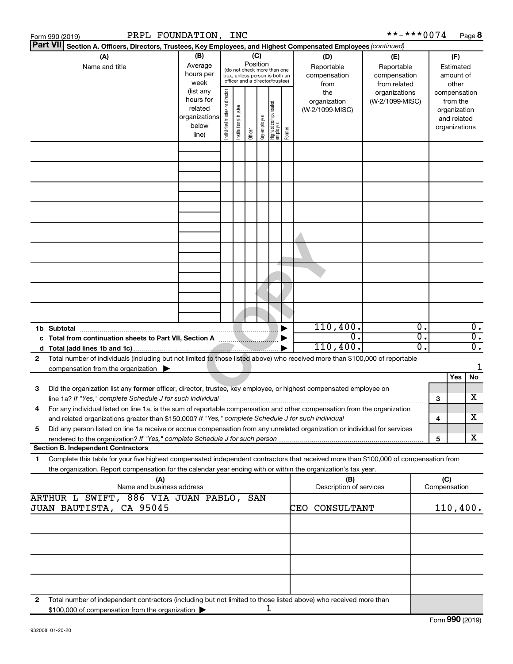|   | Form 990 (2019)                                                                                              |                                                          |                                  | PRPL FOUNDATION,                                                                                    |                                                                                                 | <b>INC</b>      |              |                                   |        |                                           |                                                                                                                                                                                                                                                        | **-***0074 |                                                 |                                         |     | Page 8                               |
|---|--------------------------------------------------------------------------------------------------------------|----------------------------------------------------------|----------------------------------|-----------------------------------------------------------------------------------------------------|-------------------------------------------------------------------------------------------------|-----------------|--------------|-----------------------------------|--------|-------------------------------------------|--------------------------------------------------------------------------------------------------------------------------------------------------------------------------------------------------------------------------------------------------------|------------|-------------------------------------------------|-----------------------------------------|-----|--------------------------------------|
|   | <b>Part VII</b>                                                                                              |                                                          |                                  |                                                                                                     |                                                                                                 |                 |              |                                   |        |                                           | Section A. Officers, Directors, Trustees, Key Employees, and Highest Compensated Employees (continued)                                                                                                                                                 |            |                                                 |                                         |     |                                      |
|   | (A)<br>Average<br>Name and title<br>hours per<br>week<br>(list any<br>hours for<br>related<br>below<br>line) |                                                          | (B)                              |                                                                                                     | (do not check more than one<br>box, unless person is both an<br>officer and a director/trustee) | (C)<br>Position |              |                                   |        | (D)<br>Reportable<br>compensation<br>from | (E)<br>Reportable<br>compensation<br>from related                                                                                                                                                                                                      |            | (F)<br>Estimated<br>amount of<br>other          |                                         |     |                                      |
|   |                                                                                                              |                                                          | organizations                    | Individual trustee or director                                                                      | Institutional trustee                                                                           | Officer         | Key employee | Highest compensated<br>  employee | Former | the<br>organization<br>(W-2/1099-MISC)    | organizations<br>(W-2/1099-MISC)                                                                                                                                                                                                                       |            | compensation<br>organizations                   | from the<br>organization<br>and related |     |                                      |
|   |                                                                                                              |                                                          |                                  |                                                                                                     |                                                                                                 |                 |              |                                   |        |                                           |                                                                                                                                                                                                                                                        |            |                                                 |                                         |     |                                      |
|   |                                                                                                              |                                                          |                                  |                                                                                                     |                                                                                                 |                 |              |                                   |        |                                           |                                                                                                                                                                                                                                                        |            |                                                 |                                         |     |                                      |
|   |                                                                                                              |                                                          |                                  |                                                                                                     |                                                                                                 |                 |              |                                   |        |                                           |                                                                                                                                                                                                                                                        |            |                                                 |                                         |     |                                      |
|   |                                                                                                              |                                                          |                                  |                                                                                                     |                                                                                                 |                 |              |                                   |        |                                           |                                                                                                                                                                                                                                                        |            |                                                 |                                         |     |                                      |
|   |                                                                                                              |                                                          |                                  |                                                                                                     |                                                                                                 |                 |              |                                   |        |                                           |                                                                                                                                                                                                                                                        |            |                                                 |                                         |     |                                      |
|   |                                                                                                              |                                                          |                                  |                                                                                                     |                                                                                                 |                 |              |                                   |        |                                           |                                                                                                                                                                                                                                                        |            |                                                 |                                         |     |                                      |
|   |                                                                                                              |                                                          |                                  |                                                                                                     |                                                                                                 |                 |              |                                   |        |                                           |                                                                                                                                                                                                                                                        |            |                                                 |                                         |     |                                      |
|   |                                                                                                              |                                                          |                                  |                                                                                                     |                                                                                                 |                 |              |                                   |        |                                           |                                                                                                                                                                                                                                                        |            |                                                 |                                         |     |                                      |
|   | 1b Subtotal                                                                                                  |                                                          |                                  |                                                                                                     |                                                                                                 |                 |              |                                   |        |                                           | 110,400.<br>σ.                                                                                                                                                                                                                                         |            | $\overline{\mathfrak{o}}$ .                     |                                         |     | $\overline{0}$ .<br>$\overline{0}$ . |
|   |                                                                                                              |                                                          |                                  | c Total from continuation sheets to Part VII, Section A manuscription of                            |                                                                                                 |                 |              |                                   |        |                                           | 110,400.                                                                                                                                                                                                                                               |            | $\overline{\mathfrak{o}}$ .<br>$\overline{0}$ . |                                         |     | $\overline{0}$ .                     |
| 2 |                                                                                                              |                                                          |                                  |                                                                                                     |                                                                                                 |                 |              |                                   |        |                                           | Total number of individuals (including but not limited to those listed above) who received more than \$100,000 of reportable                                                                                                                           |            |                                                 |                                         |     |                                      |
|   |                                                                                                              | compensation from the organization $\blacktriangleright$ |                                  |                                                                                                     |                                                                                                 |                 |              |                                   |        |                                           |                                                                                                                                                                                                                                                        |            |                                                 |                                         |     | 1                                    |
|   |                                                                                                              |                                                          |                                  |                                                                                                     |                                                                                                 |                 |              |                                   |        |                                           |                                                                                                                                                                                                                                                        |            |                                                 |                                         | Yes | No                                   |
| 3 |                                                                                                              |                                                          |                                  | line 1a? If "Yes," complete Schedule J for such individual                                          |                                                                                                 |                 |              |                                   |        |                                           | Did the organization list any former officer, director, trustee, key employee, or highest compensated employee on                                                                                                                                      |            |                                                 | З                                       |     | х                                    |
|   |                                                                                                              |                                                          |                                  | and related organizations greater than \$150,000? If "Yes," complete Schedule J for such individual |                                                                                                 |                 |              |                                   |        |                                           | For any individual listed on line 1a, is the sum of reportable compensation and other compensation from the organization                                                                                                                               |            |                                                 | 4                                       |     | x                                    |
| 5 |                                                                                                              |                                                          |                                  |                                                                                                     |                                                                                                 |                 |              |                                   |        |                                           | Did any person listed on line 1a receive or accrue compensation from any unrelated organization or individual for services                                                                                                                             |            |                                                 | 5                                       |     | x                                    |
|   |                                                                                                              | <b>Section B. Independent Contractors</b>                |                                  |                                                                                                     |                                                                                                 |                 |              |                                   |        |                                           |                                                                                                                                                                                                                                                        |            |                                                 |                                         |     |                                      |
| 1 |                                                                                                              |                                                          |                                  |                                                                                                     |                                                                                                 |                 |              |                                   |        |                                           | Complete this table for your five highest compensated independent contractors that received more than \$100,000 of compensation from<br>the organization. Report compensation for the calendar year ending with or within the organization's tax year. |            |                                                 |                                         |     |                                      |
|   |                                                                                                              |                                                          | (A)<br>Name and business address | ARTHUR L SWIFT, 886 VIA JUAN PABLO,                                                                 |                                                                                                 |                 | SAN          |                                   |        |                                           | (B)<br>Description of services                                                                                                                                                                                                                         |            |                                                 | (C)<br>Compensation                     |     |                                      |
|   |                                                                                                              | JUAN BAUTISTA, CA 95045                                  |                                  |                                                                                                     |                                                                                                 |                 |              |                                   |        |                                           | CONSULTANT<br>CEO                                                                                                                                                                                                                                      |            |                                                 | 110,400.                                |     |                                      |
|   |                                                                                                              |                                                          |                                  |                                                                                                     |                                                                                                 |                 |              |                                   |        |                                           |                                                                                                                                                                                                                                                        |            |                                                 |                                         |     |                                      |
|   |                                                                                                              |                                                          |                                  |                                                                                                     |                                                                                                 |                 |              |                                   |        |                                           |                                                                                                                                                                                                                                                        |            |                                                 |                                         |     |                                      |
|   |                                                                                                              |                                                          |                                  |                                                                                                     |                                                                                                 |                 |              |                                   |        |                                           |                                                                                                                                                                                                                                                        |            |                                                 |                                         |     |                                      |
| 2 |                                                                                                              | \$100,000 of compensation from the organization          |                                  |                                                                                                     |                                                                                                 |                 |              |                                   | ı      |                                           | Total number of independent contractors (including but not limited to those listed above) who received more than                                                                                                                                       |            |                                                 |                                         |     |                                      |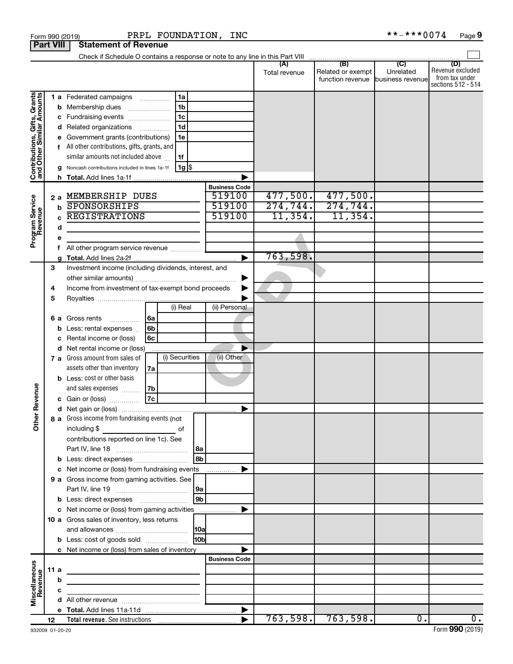|                                                           | <b>Part VIII</b> |      | <b>Statement of Revenue</b>                                                |    |                |       |                                |               |                                                        |                  |                                                          |
|-----------------------------------------------------------|------------------|------|----------------------------------------------------------------------------|----|----------------|-------|--------------------------------|---------------|--------------------------------------------------------|------------------|----------------------------------------------------------|
|                                                           |                  |      |                                                                            |    |                |       |                                | (A)           | (B)                                                    | $\overline{C}$   | (D)                                                      |
|                                                           |                  |      |                                                                            |    |                |       |                                | Total revenue | Related or exempt<br>function revenue business revenue | Unrelated        | Revenue excluded<br>from tax under<br>sections 512 - 514 |
| Contributions, Gifts, Grants<br>and Other Similar Amounts |                  |      | <b>1 a</b> Federated campaigns                                             | .  | 1a             |       |                                |               |                                                        |                  |                                                          |
|                                                           |                  | b    | Membership dues                                                            |    | 1 <sub>b</sub> |       |                                |               |                                                        |                  |                                                          |
|                                                           |                  |      | Fundraising events                                                         |    | 1 <sub>c</sub> |       |                                |               |                                                        |                  |                                                          |
|                                                           |                  |      | d Related organizations                                                    | .  | 1 <sub>d</sub> |       |                                |               |                                                        |                  |                                                          |
|                                                           |                  |      | Government grants (contributions)                                          |    | 1e             |       |                                |               |                                                        |                  |                                                          |
|                                                           |                  |      | All other contributions, gifts, grants, and                                |    |                |       |                                |               |                                                        |                  |                                                          |
|                                                           |                  |      | similar amounts not included above                                         |    | 1f             |       |                                |               |                                                        |                  |                                                          |
|                                                           |                  |      | Noncash contributions included in lines 1a-1f                              |    | 1g  \$         |       |                                |               |                                                        |                  |                                                          |
|                                                           |                  | h.   |                                                                            |    |                |       |                                |               |                                                        |                  |                                                          |
|                                                           |                  |      |                                                                            |    |                |       | <b>Business Code</b><br>519100 | 477,500.      | 477,500.                                               |                  |                                                          |
|                                                           |                  | 2a   | MEMBERSHIP DUES<br>SPONSORSHIPS                                            |    |                |       | 519100                         | 274, 744.     | 274,744.                                               |                  |                                                          |
|                                                           |                  | b    | <b>REGISTRATIONS</b>                                                       |    |                |       | 519100                         | 11,354.       | 11,354.                                                |                  |                                                          |
|                                                           |                  |      |                                                                            |    |                |       |                                |               |                                                        |                  |                                                          |
|                                                           |                  | d    |                                                                            |    |                |       |                                |               |                                                        |                  |                                                          |
| Program Service<br>Revenue                                |                  |      |                                                                            |    |                |       |                                |               |                                                        |                  |                                                          |
|                                                           |                  |      | All other program service revenue                                          |    |                |       | ь                              | 763,598.      |                                                        |                  |                                                          |
|                                                           | 3                |      | Investment income (including dividends, interest, and                      |    |                |       |                                |               |                                                        |                  |                                                          |
|                                                           |                  |      |                                                                            |    |                |       |                                |               |                                                        |                  |                                                          |
|                                                           | 4                |      | Income from investment of tax-exempt bond proceeds                         |    |                |       |                                |               |                                                        |                  |                                                          |
|                                                           | 5                |      |                                                                            |    |                |       |                                |               |                                                        |                  |                                                          |
|                                                           |                  |      |                                                                            |    | (i) Real       |       | (ii) Personal                  |               |                                                        |                  |                                                          |
|                                                           |                  | 6а   | Gross rents<br>.                                                           | 6a |                |       |                                |               |                                                        |                  |                                                          |
|                                                           |                  | b    | Less: rental expenses                                                      | 6b |                |       |                                |               |                                                        |                  |                                                          |
|                                                           |                  |      | Rental income or (loss)                                                    | 6с |                |       |                                |               |                                                        |                  |                                                          |
|                                                           |                  |      | d Net rental income or (loss)                                              |    |                |       |                                |               |                                                        |                  |                                                          |
|                                                           |                  |      | 7 a Gross amount from sales of                                             |    | (i) Securities |       | (ii) Other                     |               |                                                        |                  |                                                          |
|                                                           |                  |      | assets other than inventory                                                | 7a |                |       |                                |               |                                                        |                  |                                                          |
|                                                           |                  |      | <b>b</b> Less: cost or other basis                                         |    |                |       |                                |               |                                                        |                  |                                                          |
|                                                           |                  |      | and sales expenses                                                         | 7b |                |       |                                |               |                                                        |                  |                                                          |
| Revenue                                                   |                  |      | c Gain or (loss)                                                           | 7c |                |       |                                |               |                                                        |                  |                                                          |
|                                                           |                  |      |                                                                            |    |                |       |                                |               |                                                        |                  |                                                          |
| ৯                                                         |                  |      | 8 a Gross income from fundraising events (not                              |    |                |       |                                |               |                                                        |                  |                                                          |
| $\tilde{\vec{c}}$                                         |                  |      | including \$                                                               |    | of             |       |                                |               |                                                        |                  |                                                          |
|                                                           |                  |      | contributions reported on line 1c). See                                    |    |                |       |                                |               |                                                        |                  |                                                          |
|                                                           |                  |      |                                                                            |    |                | l 8a  |                                |               |                                                        |                  |                                                          |
|                                                           |                  |      |                                                                            |    |                | l 8b  |                                |               |                                                        |                  |                                                          |
|                                                           |                  |      | c Net income or (loss) from fundraising events                             |    |                |       | .                              |               |                                                        |                  |                                                          |
|                                                           |                  |      | 9 a Gross income from gaming activities. See                               |    |                |       |                                |               |                                                        |                  |                                                          |
|                                                           |                  |      |                                                                            |    |                | 9a    |                                |               |                                                        |                  |                                                          |
|                                                           |                  |      | <b>b</b> Less: direct expenses <b>manually</b>                             |    |                | l 9b  |                                |               |                                                        |                  |                                                          |
|                                                           |                  |      | c Net income or (loss) from gaming activities                              |    |                |       |                                |               |                                                        |                  |                                                          |
|                                                           |                  |      | 10 a Gross sales of inventory, less returns                                |    |                |       |                                |               |                                                        |                  |                                                          |
|                                                           |                  |      |                                                                            |    |                |       |                                |               |                                                        |                  |                                                          |
|                                                           |                  |      | <b>b</b> Less: cost of goods sold                                          |    |                | l10bl |                                |               |                                                        |                  |                                                          |
|                                                           |                  |      | c Net income or (loss) from sales of inventory                             |    |                |       |                                |               |                                                        |                  |                                                          |
|                                                           |                  |      |                                                                            |    |                |       | <b>Business Code</b>           |               |                                                        |                  |                                                          |
|                                                           |                  | 11 a | the control of the control of the control of the control of the control of |    |                |       |                                |               |                                                        |                  |                                                          |
|                                                           |                  | b    | the control of the control of the control of the control of the control of |    |                |       |                                |               |                                                        |                  |                                                          |
|                                                           |                  | с    | <u> 1989 - Johann Barn, mars et al. (b. 1989)</u>                          |    |                |       |                                |               |                                                        |                  |                                                          |
| Miscellaneous<br>Revenue                                  |                  |      |                                                                            |    |                |       |                                |               |                                                        |                  |                                                          |
|                                                           |                  |      |                                                                            |    |                |       |                                |               |                                                        |                  |                                                          |
|                                                           | 12               |      |                                                                            |    |                |       |                                |               | 763,598.763,598.                                       | $\overline{0}$ . | 0.                                                       |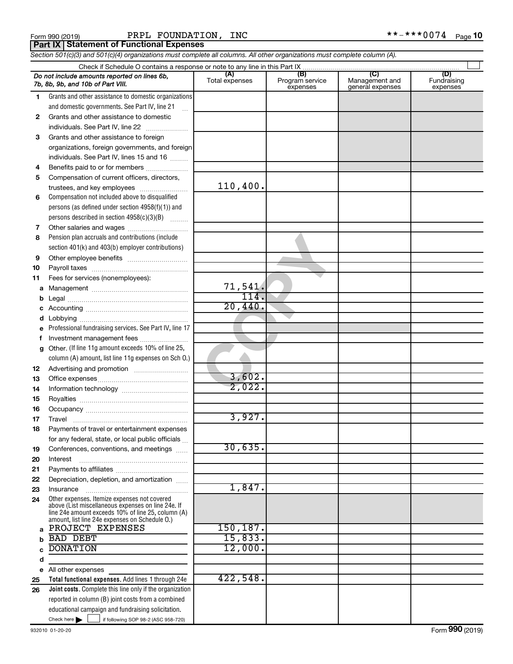| Form 990 (2019) |  |  |
|-----------------|--|--|
|                 |  |  |

Form 990 (2019) Page PRPL FOUNDATION, INC \*\*-\*\*\*0074

**Part IX Statement of Functional Expenses**

*Section 501(c)(3) and 501(c)(4) organizations must complete all columns. All other organizations must complete column (A).*

|              | Do not include amounts reported on lines 6b,<br>7b, 8b, 9b, and 10b of Part VIII.                  | (A)<br>Total expenses | (B)<br>Program service<br>expenses | (C)<br>Management and<br>general expenses | (D)<br>Fundraising<br>expenses |  |  |  |  |
|--------------|----------------------------------------------------------------------------------------------------|-----------------------|------------------------------------|-------------------------------------------|--------------------------------|--|--|--|--|
| 1.           | Grants and other assistance to domestic organizations                                              |                       |                                    |                                           |                                |  |  |  |  |
|              | and domestic governments. See Part IV, line 21                                                     |                       |                                    |                                           |                                |  |  |  |  |
| $\mathbf{2}$ | Grants and other assistance to domestic                                                            |                       |                                    |                                           |                                |  |  |  |  |
|              | individuals. See Part IV, line 22                                                                  |                       |                                    |                                           |                                |  |  |  |  |
| 3            | Grants and other assistance to foreign                                                             |                       |                                    |                                           |                                |  |  |  |  |
|              | organizations, foreign governments, and foreign                                                    |                       |                                    |                                           |                                |  |  |  |  |
|              | individuals. See Part IV, lines 15 and 16                                                          |                       |                                    |                                           |                                |  |  |  |  |
| 4            | Benefits paid to or for members                                                                    |                       |                                    |                                           |                                |  |  |  |  |
| 5            | Compensation of current officers, directors,                                                       |                       |                                    |                                           |                                |  |  |  |  |
|              | trustees, and key employees                                                                        | 110,400.              |                                    |                                           |                                |  |  |  |  |
| 6            | Compensation not included above to disqualified                                                    |                       |                                    |                                           |                                |  |  |  |  |
|              | persons (as defined under section 4958(f)(1)) and                                                  |                       |                                    |                                           |                                |  |  |  |  |
|              | persons described in section 4958(c)(3)(B)                                                         |                       |                                    |                                           |                                |  |  |  |  |
| 7            | Other salaries and wages                                                                           |                       |                                    |                                           |                                |  |  |  |  |
| 8            | Pension plan accruals and contributions (include                                                   |                       |                                    |                                           |                                |  |  |  |  |
|              | section 401(k) and 403(b) employer contributions)                                                  |                       |                                    |                                           |                                |  |  |  |  |
| 9            |                                                                                                    |                       |                                    |                                           |                                |  |  |  |  |
| 10           |                                                                                                    |                       |                                    |                                           |                                |  |  |  |  |
| 11           | Fees for services (nonemployees):                                                                  |                       |                                    |                                           |                                |  |  |  |  |
| а            |                                                                                                    | 71,541.               |                                    |                                           |                                |  |  |  |  |
|              |                                                                                                    | 114                   |                                    |                                           |                                |  |  |  |  |
|              |                                                                                                    | 20,440.               |                                    |                                           |                                |  |  |  |  |
|              |                                                                                                    |                       |                                    |                                           |                                |  |  |  |  |
| е            | Professional fundraising services. See Part IV, line 17                                            |                       |                                    |                                           |                                |  |  |  |  |
| f            | Investment management fees                                                                         |                       |                                    |                                           |                                |  |  |  |  |
| g            | Other. (If line 11g amount exceeds 10% of line 25,                                                 |                       |                                    |                                           |                                |  |  |  |  |
|              | column (A) amount, list line 11g expenses on Sch O.)                                               |                       |                                    |                                           |                                |  |  |  |  |
| 12           |                                                                                                    |                       |                                    |                                           |                                |  |  |  |  |
| 13           |                                                                                                    | 3,602.                |                                    |                                           |                                |  |  |  |  |
| 14           |                                                                                                    | 2,022.                |                                    |                                           |                                |  |  |  |  |
| 15           |                                                                                                    |                       |                                    |                                           |                                |  |  |  |  |
| 16           |                                                                                                    |                       |                                    |                                           |                                |  |  |  |  |
| 17           |                                                                                                    | 3,927.                |                                    |                                           |                                |  |  |  |  |
| 18           | Payments of travel or entertainment expenses                                                       |                       |                                    |                                           |                                |  |  |  |  |
|              | for any federal, state, or local public officials                                                  |                       |                                    |                                           |                                |  |  |  |  |
| 19           | Conferences, conventions, and meetings                                                             | 30,635.               |                                    |                                           |                                |  |  |  |  |
| 20           | Interest                                                                                           |                       |                                    |                                           |                                |  |  |  |  |
| 21           |                                                                                                    |                       |                                    |                                           |                                |  |  |  |  |
| 22           | Depreciation, depletion, and amortization                                                          |                       |                                    |                                           |                                |  |  |  |  |
| 23           | Insurance                                                                                          | 1,847.                |                                    |                                           |                                |  |  |  |  |
| 24           | Other expenses. Itemize expenses not covered<br>above (List miscellaneous expenses on line 24e. If |                       |                                    |                                           |                                |  |  |  |  |
|              | line 24e amount exceeds 10% of line 25, column (A)                                                 |                       |                                    |                                           |                                |  |  |  |  |
| a            | amount, list line 24e expenses on Schedule O.)<br>PROJECT EXPENSES                                 | 150, 187.             |                                    |                                           |                                |  |  |  |  |
|              | <b>BAD DEBT</b>                                                                                    | 15,833.               |                                    |                                           |                                |  |  |  |  |
|              | <b>DONATION</b>                                                                                    | 12,000.               |                                    |                                           |                                |  |  |  |  |
| d            |                                                                                                    |                       |                                    |                                           |                                |  |  |  |  |
| е            | All other expenses                                                                                 |                       |                                    |                                           |                                |  |  |  |  |
| 25           | Total functional expenses. Add lines 1 through 24e                                                 | 422,548.              |                                    |                                           |                                |  |  |  |  |
| 26           | Joint costs. Complete this line only if the organization                                           |                       |                                    |                                           |                                |  |  |  |  |
|              | reported in column (B) joint costs from a combined                                                 |                       |                                    |                                           |                                |  |  |  |  |
|              | educational campaign and fundraising solicitation.                                                 |                       |                                    |                                           |                                |  |  |  |  |
|              | Check here $\blacktriangleright$<br>if following SOP 98-2 (ASC 958-720)                            |                       |                                    |                                           |                                |  |  |  |  |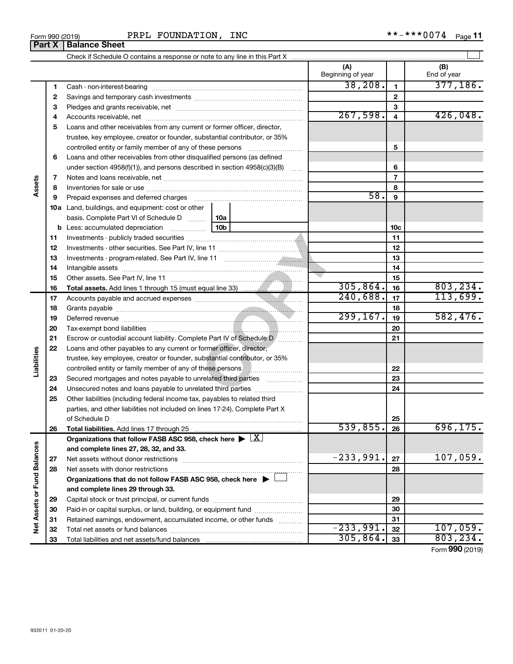| Form 990 (2019) | INC<br><b>FOUNDATION,</b><br>PRPL | ***0074<br>**_<br>Page |
|-----------------|-----------------------------------|------------------------|
|-----------------|-----------------------------------|------------------------|

 $\Box$ 

Check if Schedule O contains a response or note to any line in this Part X **Part X Balance Sheet** PRPL FOUNDA!

|                             |    | OTIGUATI OUTIGUILE O CUITUAINS A FESPUNSE OF HULE LO ANY INTE IN LINIS FAIL A                                                                                                                                                 | (A)<br>Beginning of year |                | (B)<br>End of year |
|-----------------------------|----|-------------------------------------------------------------------------------------------------------------------------------------------------------------------------------------------------------------------------------|--------------------------|----------------|--------------------|
|                             | 1  |                                                                                                                                                                                                                               | 38, 208.                 | 1              | 377,186.           |
|                             | 2  |                                                                                                                                                                                                                               |                          | $\mathbf{2}$   |                    |
|                             | 3  |                                                                                                                                                                                                                               |                          | 3              |                    |
|                             | 4  |                                                                                                                                                                                                                               | 267,598.                 | 4              | 426,048.           |
|                             | 5  | Loans and other receivables from any current or former officer, director,                                                                                                                                                     |                          |                |                    |
|                             |    | trustee, key employee, creator or founder, substantial contributor, or 35%                                                                                                                                                    |                          |                |                    |
|                             |    | controlled entity or family member of any of these persons                                                                                                                                                                    |                          | 5              |                    |
|                             | 6  | Loans and other receivables from other disqualified persons (as defined                                                                                                                                                       |                          |                |                    |
|                             |    | under section 4958(f)(1)), and persons described in section 4958(c)(3)(B)                                                                                                                                                     |                          | 6              |                    |
|                             | 7  |                                                                                                                                                                                                                               |                          | $\overline{7}$ |                    |
| Assets                      | 8  |                                                                                                                                                                                                                               |                          | 8              |                    |
|                             | 9  | Prepaid expenses and deferred charges [11] [11] Prepaid expenses and deferred charges [11] [11] Martin Marian Marian Marian Marian Marian Marian Marian Marian Marian Marian Marian Marian Marian Marian Marian Marian Marian | 58.                      | 9              |                    |
|                             |    | 10a Land, buildings, and equipment: cost or other                                                                                                                                                                             |                          |                |                    |
|                             |    | basis. Complete Part VI of Schedule D<br>10a                                                                                                                                                                                  |                          |                |                    |
|                             |    | 10 <sub>b</sub><br><b>b</b> Less: accumulated depreciation                                                                                                                                                                    |                          | 10c            |                    |
|                             | 11 |                                                                                                                                                                                                                               |                          | 11             |                    |
|                             | 12 |                                                                                                                                                                                                                               |                          | 12             |                    |
|                             | 13 |                                                                                                                                                                                                                               |                          | 13             |                    |
|                             | 14 |                                                                                                                                                                                                                               |                          | 14             |                    |
|                             | 15 |                                                                                                                                                                                                                               |                          | 15             |                    |
|                             | 16 |                                                                                                                                                                                                                               | 305,864.                 | 16             | 803, 234.          |
|                             | 17 |                                                                                                                                                                                                                               | 240,688.                 | 17             | 113,699.           |
|                             | 18 |                                                                                                                                                                                                                               |                          | 18             |                    |
|                             | 19 |                                                                                                                                                                                                                               | 299, 167.                | 19             | 582,476.           |
|                             | 20 |                                                                                                                                                                                                                               |                          | 20             |                    |
|                             | 21 | Escrow or custodial account liability. Complete Part IV of Schedule D /                                                                                                                                                       |                          | 21             |                    |
|                             | 22 | Loans and other payables to any current or former officer, director,                                                                                                                                                          |                          |                |                    |
| Liabilities                 |    | trustee, key employee, creator or founder, substantial contributor, or 35%                                                                                                                                                    |                          |                |                    |
|                             |    | controlled entity or family member of any of these persons <b>controlled</b> entity or family member of any of these persons                                                                                                  |                          | 22             |                    |
|                             | 23 | Secured mortgages and notes payable to unrelated third parties                                                                                                                                                                |                          | 23             |                    |
|                             | 24 | Unsecured notes and loans payable to unrelated third parties                                                                                                                                                                  |                          | 24             |                    |
|                             | 25 | Other liabilities (including federal income tax, payables to related third                                                                                                                                                    |                          |                |                    |
|                             |    | parties, and other liabilities not included on lines 17-24). Complete Part X                                                                                                                                                  |                          |                |                    |
|                             |    | of Schedule D                                                                                                                                                                                                                 |                          | 25             |                    |
|                             | 26 |                                                                                                                                                                                                                               | 539,855.                 | 26             | 696, 175.          |
|                             |    | Organizations that follow FASB ASC 958, check here $\blacktriangleright \lfloor \underline{X} \rfloor$                                                                                                                        |                          |                |                    |
|                             |    | and complete lines 27, 28, 32, and 33.                                                                                                                                                                                        |                          |                |                    |
|                             | 27 | Net assets without donor restrictions                                                                                                                                                                                         | $-233,991.$              | 27             | 107,059.           |
|                             | 28 |                                                                                                                                                                                                                               |                          | 28             |                    |
|                             |    | Organizations that do not follow FASB ASC 958, check here $\blacktriangleright$                                                                                                                                               |                          |                |                    |
|                             |    | and complete lines 29 through 33.                                                                                                                                                                                             |                          |                |                    |
| Net Assets or Fund Balances | 29 |                                                                                                                                                                                                                               |                          | 29             |                    |
|                             | 30 | Paid-in or capital surplus, or land, building, or equipment fund                                                                                                                                                              |                          | 30             |                    |
|                             | 31 | Retained earnings, endowment, accumulated income, or other funds                                                                                                                                                              |                          | 31             |                    |
|                             | 32 |                                                                                                                                                                                                                               | $-233,991.$              | 32             | 107,059.           |
|                             | 33 |                                                                                                                                                                                                                               | 305, 864.                | 33             | 803, 234.          |

Form (2019) **990**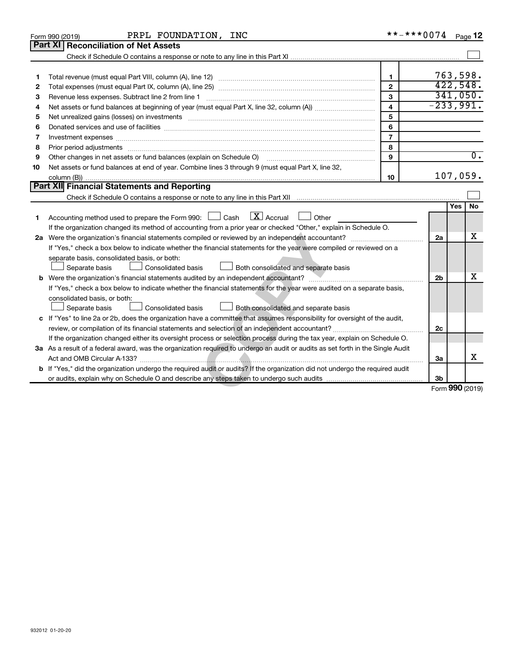|    | PRPL FOUNDATION, INC<br>Form 990 (2019)                                                                                                                                                                                        | **-***0074              |                 |     | Page 12          |
|----|--------------------------------------------------------------------------------------------------------------------------------------------------------------------------------------------------------------------------------|-------------------------|-----------------|-----|------------------|
|    | <b>Part XI</b><br><b>Reconciliation of Net Assets</b>                                                                                                                                                                          |                         |                 |     |                  |
|    |                                                                                                                                                                                                                                |                         |                 |     |                  |
|    |                                                                                                                                                                                                                                |                         |                 |     |                  |
| 1  |                                                                                                                                                                                                                                | $\mathbf{1}$            | 763,598.        |     |                  |
| 2  |                                                                                                                                                                                                                                | $\mathbf{2}$            | 422,548.        |     |                  |
| З  | Revenue less expenses. Subtract line 2 from line 1                                                                                                                                                                             | $\mathbf{3}$            |                 |     | 341,050.         |
| 4  |                                                                                                                                                                                                                                | $\overline{\mathbf{4}}$ | $-233,991.$     |     |                  |
| 5  | Net unrealized gains (losses) on investments [11] matter in the content of the state of the state of the state of the state of the state of the state of the state of the state of the state of the state of the state of the  | 5                       |                 |     |                  |
| 6  |                                                                                                                                                                                                                                | 6                       |                 |     |                  |
| 7  | Investment expenses [[11] most manufactured and all the state of the state of the state of the state of the state of the state of the state of the state of the state of the state of the state of the state of the state of t | $\overline{7}$          |                 |     |                  |
| 8  | Prior period adjustments www.communication.communication.communication.com                                                                                                                                                     | 8                       |                 |     |                  |
| 9  | Other changes in net assets or fund balances (explain on Schedule O)                                                                                                                                                           | 9                       |                 |     | $\overline{0}$ . |
| 10 | Net assets or fund balances at end of year. Combine lines 3 through 9 (must equal Part X, line 32,                                                                                                                             |                         |                 |     |                  |
|    |                                                                                                                                                                                                                                | 10                      | 107,059.        |     |                  |
|    | <b>Part XII Financial Statements and Reporting</b>                                                                                                                                                                             |                         |                 |     |                  |
|    |                                                                                                                                                                                                                                |                         |                 |     |                  |
|    |                                                                                                                                                                                                                                |                         |                 | Yes | No               |
| 1  | $X$ Accrual<br>Accounting method used to prepare the Form 990: $\Box$ Cash<br>Other                                                                                                                                            |                         |                 |     |                  |
|    | If the organization changed its method of accounting from a prior year or checked "Other," explain in Schedule O.                                                                                                              |                         |                 |     |                  |
|    |                                                                                                                                                                                                                                |                         | 2a              |     | х                |
|    | If "Yes," check a box below to indicate whether the financial statements for the year were compiled or reviewed on a                                                                                                           |                         |                 |     |                  |
|    | separate basis, consolidated basis, or both:                                                                                                                                                                                   |                         |                 |     |                  |
|    | Separate basis<br><b>Consolidated basis</b><br>Both consolidated and separate basis                                                                                                                                            |                         |                 |     |                  |
| b  |                                                                                                                                                                                                                                |                         | 2 <sub>b</sub>  |     | x                |
|    | If "Yes," check a box below to indicate whether the financial statements for the year were audited on a separate basis,                                                                                                        |                         |                 |     |                  |
|    | consolidated basis, or both:                                                                                                                                                                                                   |                         |                 |     |                  |
|    | Separate basis<br>Consolidated basis<br>Both consolidated and separate basis                                                                                                                                                   |                         |                 |     |                  |
|    | c If "Yes" to line 2a or 2b, does the organization have a committee that assumes responsibility for oversight of the audit,                                                                                                    |                         |                 |     |                  |
|    |                                                                                                                                                                                                                                |                         | 2c              |     |                  |
|    | If the organization changed either its oversight process or selection process during the tax year, explain on Schedule O.                                                                                                      |                         |                 |     |                  |
|    | 3a As a result of a federal award, was the organization required to undergo an audit or audits as set forth in the Single Audit                                                                                                |                         |                 |     |                  |
|    |                                                                                                                                                                                                                                |                         | За              |     | x                |
|    | b If "Yes," did the organization undergo the required audit or audits? If the organization did not undergo the required audit                                                                                                  |                         |                 |     |                  |
|    |                                                                                                                                                                                                                                |                         | 3b              |     |                  |
|    |                                                                                                                                                                                                                                |                         | Form 990 (2019) |     |                  |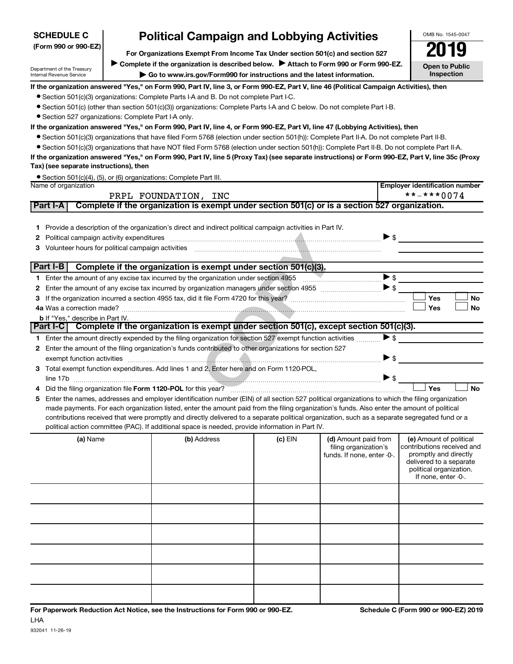| <b>SCHEDULE C</b>                                    |  | <b>Political Campaign and Lobbying Activities</b>                                                                                                                                                                                                                                             |         |                            |                          | OMB No. 1545-0047                                  |  |  |  |  |
|------------------------------------------------------|--|-----------------------------------------------------------------------------------------------------------------------------------------------------------------------------------------------------------------------------------------------------------------------------------------------|---------|----------------------------|--------------------------|----------------------------------------------------|--|--|--|--|
| (Form 990 or 990-EZ)                                 |  | 2019                                                                                                                                                                                                                                                                                          |         |                            |                          |                                                    |  |  |  |  |
|                                                      |  |                                                                                                                                                                                                                                                                                               |         |                            |                          |                                                    |  |  |  |  |
| Department of the Treasury                           |  | Complete if the organization is described below.<br>Attach to Form 990 or Form 990-EZ.                                                                                                                                                                                                        |         |                            |                          | <b>Open to Public</b><br><b>Inspection</b>         |  |  |  |  |
| <b>Internal Revenue Service</b>                      |  | Go to www.irs.gov/Form990 for instructions and the latest information.                                                                                                                                                                                                                        |         |                            |                          |                                                    |  |  |  |  |
|                                                      |  | If the organization answered "Yes," on Form 990, Part IV, line 3, or Form 990-EZ, Part V, line 46 (Political Campaign Activities), then                                                                                                                                                       |         |                            |                          |                                                    |  |  |  |  |
|                                                      |  | • Section 501(c)(3) organizations: Complete Parts I-A and B. Do not complete Part I-C.                                                                                                                                                                                                        |         |                            |                          |                                                    |  |  |  |  |
| • Section 527 organizations: Complete Part I-A only. |  | • Section 501(c) (other than section 501(c)(3)) organizations: Complete Parts I-A and C below. Do not complete Part I-B.                                                                                                                                                                      |         |                            |                          |                                                    |  |  |  |  |
|                                                      |  | If the organization answered "Yes," on Form 990, Part IV, line 4, or Form 990-EZ, Part VI, line 47 (Lobbying Activities), then                                                                                                                                                                |         |                            |                          |                                                    |  |  |  |  |
|                                                      |  | • Section 501(c)(3) organizations that have filed Form 5768 (election under section 501(h)): Complete Part II-A. Do not complete Part II-B.                                                                                                                                                   |         |                            |                          |                                                    |  |  |  |  |
|                                                      |  | • Section 501(c)(3) organizations that have NOT filed Form 5768 (election under section 501(h)): Complete Part II-B. Do not complete Part II-A.                                                                                                                                               |         |                            |                          |                                                    |  |  |  |  |
|                                                      |  | If the organization answered "Yes," on Form 990, Part IV, line 5 (Proxy Tax) (see separate instructions) or Form 990-EZ, Part V, line 35c (Proxy                                                                                                                                              |         |                            |                          |                                                    |  |  |  |  |
| Tax) (see separate instructions), then               |  |                                                                                                                                                                                                                                                                                               |         |                            |                          |                                                    |  |  |  |  |
|                                                      |  | • Section 501(c)(4), (5), or (6) organizations: Complete Part III.                                                                                                                                                                                                                            |         |                            |                          |                                                    |  |  |  |  |
| Name of organization                                 |  |                                                                                                                                                                                                                                                                                               |         |                            |                          | <b>Employer identification number</b>              |  |  |  |  |
|                                                      |  | PRPL FOUNDATION, INC                                                                                                                                                                                                                                                                          |         |                            |                          | **-***0074                                         |  |  |  |  |
| Part I-A                                             |  | Complete if the organization is exempt under section 501(c) or is a section 527 organization.                                                                                                                                                                                                 |         |                            |                          |                                                    |  |  |  |  |
|                                                      |  |                                                                                                                                                                                                                                                                                               |         |                            |                          |                                                    |  |  |  |  |
| 1.                                                   |  | Provide a description of the organization's direct and indirect political campaign activities in Part IV.                                                                                                                                                                                     |         |                            |                          |                                                    |  |  |  |  |
| 2                                                    |  | Political campaign activity expenditures material content and all products of the content of the content of the content of the content of the content of the content of the content of the content of the content of the conte                                                                |         | $\triangleright$ \$        |                          |                                                    |  |  |  |  |
| З                                                    |  |                                                                                                                                                                                                                                                                                               |         |                            |                          |                                                    |  |  |  |  |
| Part I-B                                             |  | Complete if the organization is exempt under section 501(c)(3).                                                                                                                                                                                                                               |         |                            |                          |                                                    |  |  |  |  |
|                                                      |  |                                                                                                                                                                                                                                                                                               |         | $\blacktriangleright$ \$   |                          |                                                    |  |  |  |  |
| 2                                                    |  |                                                                                                                                                                                                                                                                                               |         |                            |                          |                                                    |  |  |  |  |
| 3                                                    |  | If the organization incurred a section 4955 tax, did it file Form 4720 for this year?<br>If the organization incurred a section 4955 tax, did it file Form 4720 for this year?                                                                                                                |         |                            |                          | Yes<br>No                                          |  |  |  |  |
|                                                      |  |                                                                                                                                                                                                                                                                                               |         |                            |                          | <b>Yes</b><br><b>No</b>                            |  |  |  |  |
| <b>b</b> If "Yes," describe in Part IV.              |  |                                                                                                                                                                                                                                                                                               |         |                            |                          |                                                    |  |  |  |  |
|                                                      |  | Part I-C Complete if the organization is exempt under section 501(c), except section 501(c)(3).                                                                                                                                                                                               |         |                            |                          |                                                    |  |  |  |  |
|                                                      |  | 1 Enter the amount directly expended by the filing organization for section 527 exempt function activities                                                                                                                                                                                    |         |                            | $\blacktriangleright$ \$ |                                                    |  |  |  |  |
| 2                                                    |  | Enter the amount of the filing organization's funds contributed to other organizations for section 527                                                                                                                                                                                        |         |                            |                          |                                                    |  |  |  |  |
| exempt function activities                           |  |                                                                                                                                                                                                                                                                                               |         | $\blacktriangleright$ \$   |                          |                                                    |  |  |  |  |
| 3                                                    |  | Total exempt function expenditures. Add lines 1 and 2. Enter here and on Form 1120-POL,                                                                                                                                                                                                       |         |                            |                          |                                                    |  |  |  |  |
|                                                      |  |                                                                                                                                                                                                                                                                                               |         | $\triangleright$ \$        |                          |                                                    |  |  |  |  |
|                                                      |  |                                                                                                                                                                                                                                                                                               |         |                            |                          | Yes<br>No                                          |  |  |  |  |
| 5                                                    |  | Enter the names, addresses and employer identification number (EIN) of all section 527 political organizations to which the filing organization                                                                                                                                               |         |                            |                          |                                                    |  |  |  |  |
|                                                      |  | made payments. For each organization listed, enter the amount paid from the filing organization's funds. Also enter the amount of political<br>contributions received that were promptly and directly delivered to a separate political organization, such as a separate segregated fund or a |         |                            |                          |                                                    |  |  |  |  |
|                                                      |  | political action committee (PAC). If additional space is needed, provide information in Part IV.                                                                                                                                                                                              |         |                            |                          |                                                    |  |  |  |  |
| (a) Name                                             |  | (b) Address                                                                                                                                                                                                                                                                                   | (c) EIN | (d) Amount paid from       |                          | (e) Amount of political                            |  |  |  |  |
|                                                      |  |                                                                                                                                                                                                                                                                                               |         | filing organization's      |                          | contributions received and                         |  |  |  |  |
|                                                      |  |                                                                                                                                                                                                                                                                                               |         | funds. If none, enter -0-. |                          | promptly and directly                              |  |  |  |  |
|                                                      |  |                                                                                                                                                                                                                                                                                               |         |                            |                          | delivered to a separate<br>political organization. |  |  |  |  |
|                                                      |  |                                                                                                                                                                                                                                                                                               |         |                            |                          | If none, enter -0-.                                |  |  |  |  |
|                                                      |  |                                                                                                                                                                                                                                                                                               |         |                            |                          |                                                    |  |  |  |  |
|                                                      |  |                                                                                                                                                                                                                                                                                               |         |                            |                          |                                                    |  |  |  |  |
|                                                      |  |                                                                                                                                                                                                                                                                                               |         |                            |                          |                                                    |  |  |  |  |
|                                                      |  |                                                                                                                                                                                                                                                                                               |         |                            |                          |                                                    |  |  |  |  |
|                                                      |  |                                                                                                                                                                                                                                                                                               |         |                            |                          |                                                    |  |  |  |  |
|                                                      |  |                                                                                                                                                                                                                                                                                               |         |                            |                          |                                                    |  |  |  |  |
|                                                      |  |                                                                                                                                                                                                                                                                                               |         |                            |                          |                                                    |  |  |  |  |
|                                                      |  |                                                                                                                                                                                                                                                                                               |         |                            |                          |                                                    |  |  |  |  |
|                                                      |  |                                                                                                                                                                                                                                                                                               |         |                            |                          |                                                    |  |  |  |  |
|                                                      |  |                                                                                                                                                                                                                                                                                               |         |                            |                          |                                                    |  |  |  |  |
|                                                      |  |                                                                                                                                                                                                                                                                                               |         |                            |                          |                                                    |  |  |  |  |
|                                                      |  |                                                                                                                                                                                                                                                                                               |         |                            |                          |                                                    |  |  |  |  |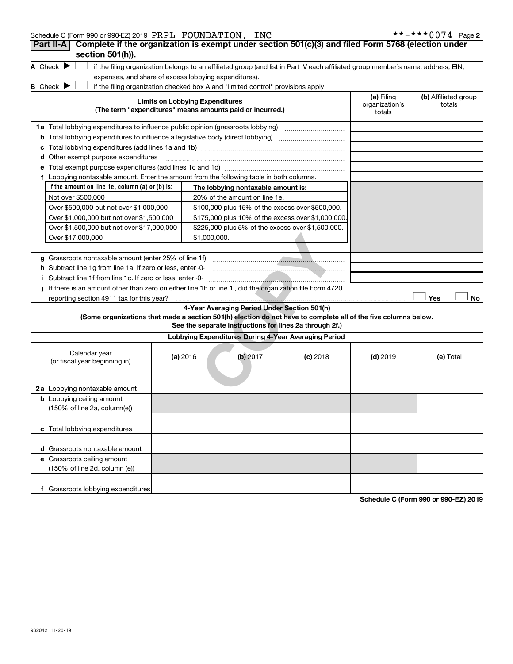| Schedule C (Form 990 or 990-EZ) 2019 PRPL FOUNDATION, INC                                                      |                                                                                                           |              |                                                                                  |                                                                                                                                   |                                        | **-***0074 Page 2              |  |  |
|----------------------------------------------------------------------------------------------------------------|-----------------------------------------------------------------------------------------------------------|--------------|----------------------------------------------------------------------------------|-----------------------------------------------------------------------------------------------------------------------------------|----------------------------------------|--------------------------------|--|--|
| Part II-A   Complete if the organization is exempt under section 501(c)(3) and filed Form 5768 (election under |                                                                                                           |              |                                                                                  |                                                                                                                                   |                                        |                                |  |  |
| section 501(h)).                                                                                               |                                                                                                           |              |                                                                                  |                                                                                                                                   |                                        |                                |  |  |
| A Check $\blacktriangleright \Box$                                                                             |                                                                                                           |              |                                                                                  | if the filing organization belongs to an affiliated group (and list in Part IV each affiliated group member's name, address, EIN, |                                        |                                |  |  |
| expenses, and share of excess lobbying expenditures).                                                          |                                                                                                           |              |                                                                                  |                                                                                                                                   |                                        |                                |  |  |
| <b>B</b> Check $\blacktriangleright$                                                                           |                                                                                                           |              | if the filing organization checked box A and "limited control" provisions apply. |                                                                                                                                   |                                        |                                |  |  |
|                                                                                                                | <b>Limits on Lobbying Expenditures</b>                                                                    |              | (The term "expenditures" means amounts paid or incurred.)                        |                                                                                                                                   | (a) Filing<br>organization's<br>totals | (b) Affiliated group<br>totals |  |  |
| 1a Total lobbying expenditures to influence public opinion (grassroots lobbying)                               |                                                                                                           |              |                                                                                  |                                                                                                                                   |                                        |                                |  |  |
|                                                                                                                | <b>b</b> Total lobbying expenditures to influence a legislative body (direct lobbying) <i>manumumumum</i> |              |                                                                                  |                                                                                                                                   |                                        |                                |  |  |
|                                                                                                                |                                                                                                           |              |                                                                                  |                                                                                                                                   |                                        |                                |  |  |
| d Other exempt purpose expenditures                                                                            |                                                                                                           |              |                                                                                  |                                                                                                                                   |                                        |                                |  |  |
|                                                                                                                |                                                                                                           |              |                                                                                  |                                                                                                                                   |                                        |                                |  |  |
| f Lobbying nontaxable amount. Enter the amount from the following table in both columns.                       |                                                                                                           |              |                                                                                  |                                                                                                                                   |                                        |                                |  |  |
| If the amount on line $1e$ , column $(a)$ or $(b)$ is:                                                         |                                                                                                           |              | The lobbying nontaxable amount is:                                               |                                                                                                                                   |                                        |                                |  |  |
| Not over \$500,000                                                                                             |                                                                                                           |              | 20% of the amount on line 1e.                                                    |                                                                                                                                   |                                        |                                |  |  |
| Over \$500,000 but not over \$1,000,000                                                                        |                                                                                                           |              | \$100,000 plus 15% of the excess over \$500,000.                                 |                                                                                                                                   |                                        |                                |  |  |
| Over \$1,000,000 but not over \$1,500,000                                                                      |                                                                                                           |              | \$175,000 plus 10% of the excess over \$1,000,000.                               |                                                                                                                                   |                                        |                                |  |  |
| Over \$1,500,000 but not over \$17,000,000                                                                     |                                                                                                           |              | \$225,000 plus 5% of the excess over \$1,500,000.                                |                                                                                                                                   |                                        |                                |  |  |
| Over \$17,000,000                                                                                              |                                                                                                           | \$1,000,000. |                                                                                  |                                                                                                                                   |                                        |                                |  |  |
|                                                                                                                |                                                                                                           |              |                                                                                  |                                                                                                                                   |                                        |                                |  |  |
| g Grassroots nontaxable amount (enter 25% of line 1f)                                                          |                                                                                                           |              |                                                                                  |                                                                                                                                   |                                        |                                |  |  |
| h Subtract line 1g from line 1a. If zero or less, enter -0-                                                    |                                                                                                           |              |                                                                                  |                                                                                                                                   |                                        |                                |  |  |
|                                                                                                                |                                                                                                           |              |                                                                                  |                                                                                                                                   |                                        |                                |  |  |
| If there is an amount other than zero on either line 1h or line 1i, did the organization file Form 4720<br>j.  |                                                                                                           |              |                                                                                  |                                                                                                                                   |                                        |                                |  |  |
| reporting section 4911 tax for this year?                                                                      |                                                                                                           |              |                                                                                  |                                                                                                                                   |                                        | Yes<br>No                      |  |  |
|                                                                                                                |                                                                                                           |              | 4-Year Averaging Period Under Section 501(h)                                     |                                                                                                                                   |                                        |                                |  |  |
| (Some organizations that made a section 501(h) election do not have to complete all of the five columns below. |                                                                                                           |              | See the separate instructions for lines 2a through 2f.)                          |                                                                                                                                   |                                        |                                |  |  |
|                                                                                                                |                                                                                                           |              | Lobbying Expenditures During 4-Year Averaging Period                             |                                                                                                                                   |                                        |                                |  |  |
|                                                                                                                |                                                                                                           |              |                                                                                  |                                                                                                                                   |                                        |                                |  |  |
| Calendar year<br>(or fiscal year beginning in)                                                                 | (a) 2016                                                                                                  |              | $(b)$ 2017                                                                       | $(c)$ 2018                                                                                                                        | $(d)$ 2019                             | (e) Total                      |  |  |
|                                                                                                                |                                                                                                           |              |                                                                                  |                                                                                                                                   |                                        |                                |  |  |
|                                                                                                                |                                                                                                           |              |                                                                                  |                                                                                                                                   |                                        |                                |  |  |
| 2a Lobbying nontaxable amount                                                                                  |                                                                                                           |              |                                                                                  |                                                                                                                                   |                                        |                                |  |  |
| <b>b</b> Lobbying ceiling amount                                                                               |                                                                                                           |              |                                                                                  |                                                                                                                                   |                                        |                                |  |  |
| (150% of line 2a, column(e))                                                                                   |                                                                                                           |              |                                                                                  |                                                                                                                                   |                                        |                                |  |  |
|                                                                                                                |                                                                                                           |              |                                                                                  |                                                                                                                                   |                                        |                                |  |  |
| c Total lobbying expenditures                                                                                  |                                                                                                           |              |                                                                                  |                                                                                                                                   |                                        |                                |  |  |
|                                                                                                                |                                                                                                           |              |                                                                                  |                                                                                                                                   |                                        |                                |  |  |
| d Grassroots nontaxable amount                                                                                 |                                                                                                           |              |                                                                                  |                                                                                                                                   |                                        |                                |  |  |
| e Grassroots ceiling amount                                                                                    |                                                                                                           |              |                                                                                  |                                                                                                                                   |                                        |                                |  |  |
| (150% of line 2d, column (e))                                                                                  |                                                                                                           |              |                                                                                  |                                                                                                                                   |                                        |                                |  |  |
|                                                                                                                |                                                                                                           |              |                                                                                  |                                                                                                                                   |                                        |                                |  |  |
| f Grassroots lobbying expenditures                                                                             |                                                                                                           |              |                                                                                  |                                                                                                                                   |                                        |                                |  |  |

**Schedule C (Form 990 or 990-EZ) 2019**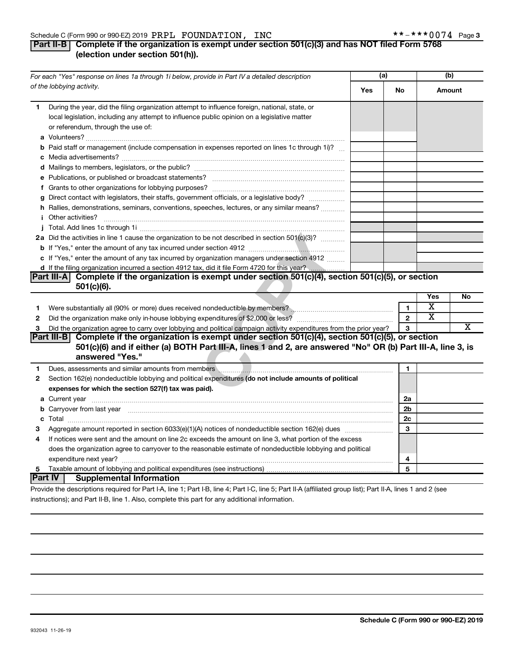#### Schedule C (Form 990 or 990-EZ) 2019  $\rm PRPL$   $\rm \, FOUNDATION$  ,  $\rm \, INC$   $\rm \, *$   $\rm \, *$   $\rm \, *$   $\rm \, *$   $\rm \, *$   $\rm \, *$   $\rm \, *$   $\rm \, *$   $\rm \, *$   $\rm \, *$   $\rm \, *$   $\rm \, *$   $\rm \, *$   $\rm \, *$   $\rm \, *$   $\rm \, *$   $\rm \, *$   $\rm \, *$   $\rm \, *$   $\rm \$

## **Part II-B Complete if the organization is exempt under section 501(c)(3) and has NOT filed Form 5768 (election under section 501(h)).**

| For each "Yes" response on lines 1a through 1i below, provide in Part IV a detailed description |                                                                                                                                                                                                                                                 | (a) |                | (b)                     |    |
|-------------------------------------------------------------------------------------------------|-------------------------------------------------------------------------------------------------------------------------------------------------------------------------------------------------------------------------------------------------|-----|----------------|-------------------------|----|
| of the lobbying activity.                                                                       |                                                                                                                                                                                                                                                 | Yes | No             | Amount                  |    |
| 1.                                                                                              | During the year, did the filing organization attempt to influence foreign, national, state, or<br>local legislation, including any attempt to influence public opinion on a legislative matter<br>or referendum, through the use of:            |     |                |                         |    |
|                                                                                                 | <b>b</b> Paid staff or management (include compensation in expenses reported on lines 1c through 1i)?                                                                                                                                           |     |                |                         |    |
|                                                                                                 |                                                                                                                                                                                                                                                 |     |                |                         |    |
|                                                                                                 |                                                                                                                                                                                                                                                 |     |                |                         |    |
|                                                                                                 |                                                                                                                                                                                                                                                 |     |                |                         |    |
|                                                                                                 | g Direct contact with legislators, their staffs, government officials, or a legislative body?                                                                                                                                                   |     |                |                         |    |
|                                                                                                 | h Rallies, demonstrations, seminars, conventions, speeches, lectures, or any similar means?                                                                                                                                                     |     |                |                         |    |
|                                                                                                 | <i>i</i> Other activities?                                                                                                                                                                                                                      |     |                |                         |    |
|                                                                                                 |                                                                                                                                                                                                                                                 |     |                |                         |    |
|                                                                                                 | 2a Did the activities in line 1 cause the organization to be not described in section 501(c)(3)?                                                                                                                                                |     |                |                         |    |
|                                                                                                 |                                                                                                                                                                                                                                                 |     |                |                         |    |
|                                                                                                 | c If "Yes," enter the amount of any tax incurred by organization managers under section 4912                                                                                                                                                    |     |                |                         |    |
|                                                                                                 | d If the filing organization incurred a section 4912 tax, did it file Form 4720 for this year?                                                                                                                                                  |     |                |                         |    |
|                                                                                                 | Complete if the organization is exempt under section 501(c)(4), section 501(c)(5), or section<br> Part III-A                                                                                                                                    |     |                |                         |    |
|                                                                                                 | $501(c)(6)$ .                                                                                                                                                                                                                                   |     |                |                         |    |
|                                                                                                 |                                                                                                                                                                                                                                                 |     |                | Yes                     | No |
| 1                                                                                               |                                                                                                                                                                                                                                                 |     | $\mathbf{1}$   | $\overline{\text{x}}$   |    |
| $\mathbf{2}$                                                                                    |                                                                                                                                                                                                                                                 |     | $\mathbf{2}$   | $\overline{\textbf{x}}$ |    |
| 3                                                                                               | Did the organization agree to carry over lobbying and political campaign activity expenditures from the prior year?                                                                                                                             |     | 3              |                         | х  |
|                                                                                                 | Complete if the organization is exempt under section 501(c)(4), section 501(c)(5), or section<br> Part III-B <br>501(c)(6) and if either (a) BOTH Part III-A, lines 1 and 2, are answered "No" OR (b) Part III-A, line 3, is<br>answered "Yes." |     |                |                         |    |
| 1                                                                                               | Dues, assessments and similar amounts from members \\\espirit \\espirit \\espirit \\espirit \\espirit \\espirit \\espirit \\espirit \\espirit \\espirit \\espirit \\espirit \\espirit \\espirit \\espirit \\espirit \\espirit                   |     | 1              |                         |    |
| 2                                                                                               | Section 162(e) nondeductible lobbying and political expenditures (do not include amounts of political                                                                                                                                           |     |                |                         |    |
|                                                                                                 | expenses for which the section 527(f) tax was paid).                                                                                                                                                                                            |     |                |                         |    |
|                                                                                                 |                                                                                                                                                                                                                                                 |     | 2a             |                         |    |
|                                                                                                 | <b>b</b> Carryover from last year manufactured and content to content the content of the content of the content of the content of the content of the content of the content of the content of the content of the content of the con             |     | 2 <sub>b</sub> |                         |    |
|                                                                                                 |                                                                                                                                                                                                                                                 |     | 2c             |                         |    |
| 3                                                                                               |                                                                                                                                                                                                                                                 |     | 3              |                         |    |
| 4                                                                                               | If notices were sent and the amount on line 2c exceeds the amount on line 3, what portion of the excess                                                                                                                                         |     |                |                         |    |
|                                                                                                 | does the organization agree to carryover to the reasonable estimate of nondeductible lobbying and political                                                                                                                                     |     |                |                         |    |
|                                                                                                 |                                                                                                                                                                                                                                                 |     | 4              |                         |    |
| 5                                                                                               |                                                                                                                                                                                                                                                 |     | 5              |                         |    |
|                                                                                                 | <b>Part IV</b><br><b>Supplemental Information</b>                                                                                                                                                                                               |     |                |                         |    |
|                                                                                                 | Provide the descriptions required for Part I-A, line 1; Part I-B, line 4; Part I-C, line 5; Part II-A (affiliated group list); Part II-A, lines 1 and 2 (see                                                                                    |     |                |                         |    |

instructions); and Part II-B, line 1. Also, complete this part for any additional information.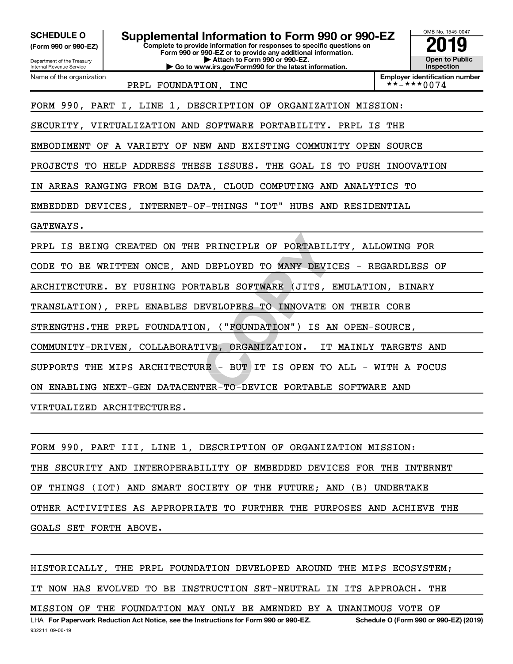**PRINCIPLE OF PORTABILITY,<br>DEPLOYED TO MANY DEVICES -<br>TABLE SOFTWARE (JITS, EMULA<br>EVELOPERS TO INNOVATE ON TH<br>N, ("FOUNDATION") IS AN OPE<br>IVE, ORGANIZATION. IT MAIN<br>RE - BUT IT IS OPEN TO ALL<br>TER-TO-DEVICE PORTABLE SOFT** OMB No. 1545-0047 Department of the Treasury Internal Revenue Service **Complete to provide information for responses to specific questions on Form 990 or 990-EZ or to provide any additional information. | Attach to Form 990 or 990-EZ. | Go to www.irs.gov/Form990 for the latest information. (Form 990 or 990-EZ) Open to Public Inspection Employer identification number**<br>\* \* - \* \* \* 0 0 7 4 Name of the organization **SCHEDULE O Supplemental Information to Form 990 or 990-EZ 2019** PRPL FOUNDATION, INC FORM 990, PART I, LINE 1, DESCRIPTION OF ORGANIZATION MISSION: SECURITY, VIRTUALIZATION AND SOFTWARE PORTABILITY. PRPL IS THE EMBODIMENT OF A VARIETY OF NEW AND EXISTING COMMUNITY OPEN SOURCE PROJECTS TO HELP ADDRESS THESE ISSUES. THE GOAL IS TO PUSH INOOVATION IN AREAS RANGING FROM BIG DATA, CLOUD COMPUTING AND ANALYTICS TO EMBEDDED DEVICES, INTERNET-OF-THINGS "IOT" HUBS AND RESIDENTIAL GATEWAYS. PRPL IS BEING CREATED ON THE PRINCIPLE OF PORTABILITY, ALLOWING FOR CODE TO BE WRITTEN ONCE, AND DEPLOYED TO MANY DEVICES - REGARDLESS OF ARCHITECTURE. BY PUSHING PORTABLE SOFTWARE (JITS, EMULATION, BINARY TRANSLATION), PRPL ENABLES DEVELOPERS TO INNOVATE ON THEIR CORE STRENGTHS.THE PRPL FOUNDATION, ("FOUNDATION") IS AN OPEN-SOURCE, COMMUNITY-DRIVEN, COLLABORATIVE, ORGANIZATION. IT MAINLY TARGETS AND SUPPORTS THE MIPS ARCHITECTURE - BUT IT IS OPEN TO ALL - WITH A FOCUS ON ENABLING NEXT-GEN DATACENTER-TO-DEVICE PORTABLE SOFTWARE AND VIRTUALIZED ARCHITECTURES.

FORM 990, PART III, LINE 1, DESCRIPTION OF ORGANIZATION MISSION: THE SECURITY AND INTEROPERABILITY OF EMBEDDED DEVICES FOR THE INTERNET OF THINGS (IOT) AND SMART SOCIETY OF THE FUTURE; AND (B) UNDERTAKE OTHER ACTIVITIES AS APPROPRIATE TO FURTHER THE PURPOSES AND ACHIEVE THE GOALS SET FORTH ABOVE.

LHA For Paperwork Reduction Act Notice, see the Instructions for Form 990 or 990-EZ. Schedule O (Form 990 or 990-EZ) (2019) HISTORICALLY, THE PRPL FOUNDATION DEVELOPED AROUND THE MIPS ECOSYSTEM; IT NOW HAS EVOLVED TO BE INSTRUCTION SET-NEUTRAL IN ITS APPROACH. THE MISSION OF THE FOUNDATION MAY ONLY BE AMENDED BY A UNANIMOUS VOTE OF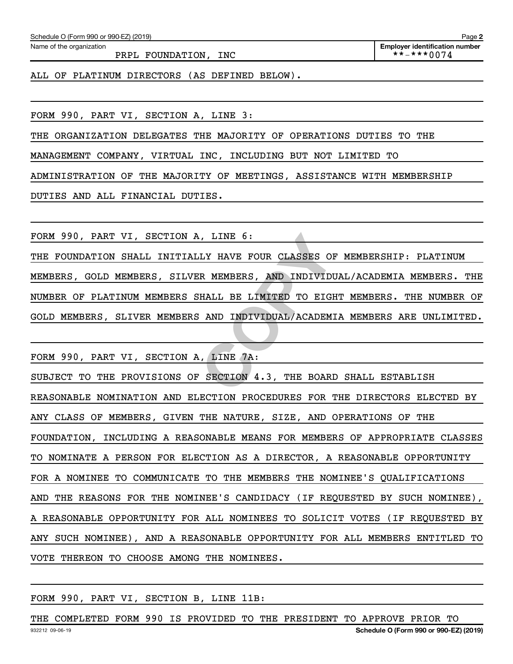Name of the organization

PRPL FOUNDATION, INC  $\begin{array}{ccc} & & \text{**--**+0074} \end{array}$ 

ALL OF PLATINUM DIRECTORS (AS DEFINED BELOW).

FORM 990, PART VI, SECTION A, LINE 3:

THE ORGANIZATION DELEGATES THE MAJORITY OF OPERATIONS DUTIES TO THE

MANAGEMENT COMPANY, VIRTUAL INC, INCLUDING BUT NOT LIMITED TO

ADMINISTRATION OF THE MAJORITY OF MEETINGS, ASSISTANCE WITH MEMBERSHIP

DUTIES AND ALL FINANCIAL DUTIES.

FORM 990, PART VI, SECTION A, LINE 6:

THE 6:<br>
<u>LY HAVE FOUR CLASSES OF MEM<br>
R MEMBERS, AND INDIVIDUAL/A<br>
HALL BE LIMITED TO EIGHT ME<br>
AND INDIVIDUAL/ACADEMIA ME<br>
... LINE 7A:<br>
SECTION 4.3, THE BOARD SHA</u> THE FOUNDATION SHALL INITIALLY HAVE FOUR CLASSES OF MEMBERSHIP: PLATINUM MEMBERS, GOLD MEMBERS, SILVER MEMBERS, AND INDIVIDUAL/ACADEMIA MEMBERS. THE NUMBER OF PLATINUM MEMBERS SHALL BE LIMITED TO EIGHT MEMBERS. THE NUMBER OF GOLD MEMBERS, SLIVER MEMBERS AND INDIVIDUAL/ACADEMIA MEMBERS ARE UNLIMITED.

FORM 990, PART VI, SECTION A, LINE 7A: SUBJECT TO THE PROVISIONS OF SECTION 4.3, THE BOARD SHALL ESTABLISH REASONABLE NOMINATION AND ELECTION PROCEDURES FOR THE DIRECTORS ELECTED BY ANY CLASS OF MEMBERS, GIVEN THE NATURE, SIZE, AND OPERATIONS OF THE FOUNDATION, INCLUDING A REASONABLE MEANS FOR MEMBERS OF APPROPRIATE CLASSES TO NOMINATE A PERSON FOR ELECTION AS A DIRECTOR, A REASONABLE OPPORTUNITY FOR A NOMINEE TO COMMUNICATE TO THE MEMBERS THE NOMINEE'S QUALIFICATIONS AND THE REASONS FOR THE NOMINEE'S CANDIDACY (IF REQUESTED BY SUCH NOMINEE), A REASONABLE OPPORTUNITY FOR ALL NOMINEES TO SOLICIT VOTES (IF REQUESTED BY ANY SUCH NOMINEE), AND A REASONABLE OPPORTUNITY FOR ALL MEMBERS ENTITLED TO VOTE THEREON TO CHOOSE AMONG THE NOMINEES.

#### FORM 990, PART VI, SECTION B, LINE 11B:

932212 09-06-19 **Schedule O (Form 990 or 990-EZ) (2019)** THE COMPLETED FORM 990 IS PROVIDED TO THE PRESIDENT TO APPROVE PRIOR TO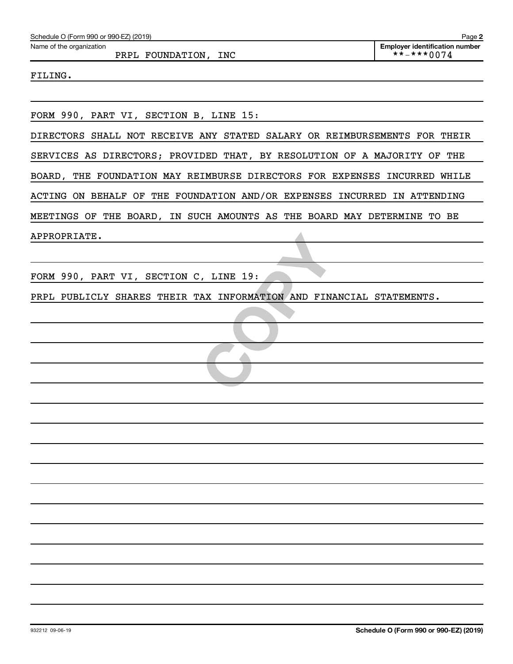| Schedule O (Form 990 or 990-EZ) (2019)                                    | Page 2                                                                            |
|---------------------------------------------------------------------------|-----------------------------------------------------------------------------------|
| Name of the organization<br>PRPL FOUNDATION, INC                          | <b>Employer identification number</b><br>$\star \star$ - $\star \star \star 0074$ |
| FILING.                                                                   |                                                                                   |
|                                                                           |                                                                                   |
| FORM 990, PART VI, SECTION B, LINE 15:                                    |                                                                                   |
| DIRECTORS SHALL NOT RECEIVE ANY STATED SALARY OR REIMBURSEMENTS FOR THEIR |                                                                                   |
| SERVICES AS DIRECTORS; PROVIDED THAT, BY RESOLUTION OF A MAJORITY OF THE  |                                                                                   |
| BOARD, THE FOUNDATION MAY REIMBURSE DIRECTORS FOR EXPENSES INCURRED WHILE |                                                                                   |
| ACTING ON BEHALF OF THE FOUNDATION AND/OR EXPENSES INCURRED IN ATTENDING  |                                                                                   |
| MEETINGS OF THE BOARD, IN SUCH AMOUNTS AS THE BOARD MAY DETERMINE TO BE   |                                                                                   |
| APPROPRIATE.                                                              |                                                                                   |
|                                                                           |                                                                                   |
| FORM 990, PART VI, SECTION C, LINE 19:                                    |                                                                                   |
| PRPL PUBLICLY SHARES THEIR TAX INFORMATION AND FINANCIAL STATEMENTS.      |                                                                                   |
|                                                                           |                                                                                   |
|                                                                           |                                                                                   |
|                                                                           |                                                                                   |
|                                                                           |                                                                                   |
|                                                                           |                                                                                   |
|                                                                           |                                                                                   |
|                                                                           |                                                                                   |
|                                                                           |                                                                                   |
|                                                                           |                                                                                   |
|                                                                           |                                                                                   |
|                                                                           |                                                                                   |
|                                                                           |                                                                                   |
|                                                                           |                                                                                   |
|                                                                           |                                                                                   |
|                                                                           |                                                                                   |
|                                                                           |                                                                                   |